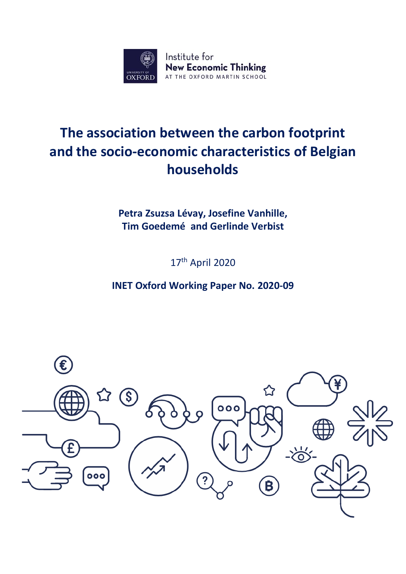

# **The association between the carbon footprint and the socio-economic characteristics of Belgian households**

**Petra Zsuzsa Lévay, Josefine Vanhille, Tim Goedemé and Gerlinde Verbist**

17th April 2020

**INET Oxford Working Paper No. 2020-09**

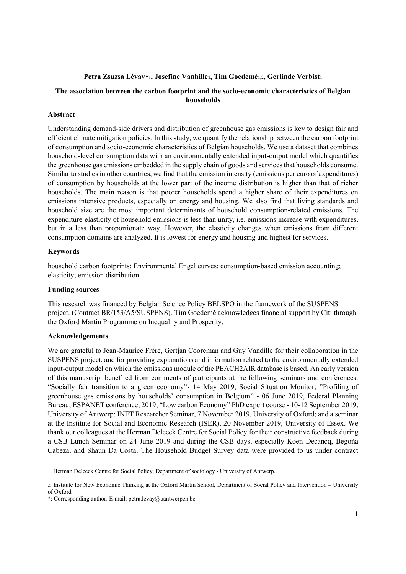# Petra Zsuzsa Lévay\*<sup>1</sup>, Josefine Vanhille1, Tim Goedemé1,2, Gerlinde Verbist1

# **The association between the carbon footprint and the socio-economic characteristics of Belgian households**

# **Abstract**

Understanding demand-side drivers and distribution of greenhouse gas emissions is key to design fair and efficient climate mitigation policies. In this study, we quantify the relationship between the carbon footprint of consumption and socio-economic characteristics of Belgian households. We use a dataset that combines household-level consumption data with an environmentally extended input-output model which quantifies the greenhouse gas emissions embedded in the supply chain of goods and services that households consume. Similar to studies in other countries, we find that the emission intensity (emissions per euro of expenditures) of consumption by households at the lower part of the income distribution is higher than that of richer households. The main reason is that poorer households spend a higher share of their expenditures on emissions intensive products, especially on energy and housing. We also find that living standards and household size are the most important determinants of household consumption-related emissions. The expenditure-elasticity of household emissions is less than unity, i.e. emissions increase with expenditures, but in a less than proportionate way. However, the elasticity changes when emissions from different consumption domains are analyzed. It is lowest for energy and housing and highest for services.

# **Keywords**

household carbon footprints; Environmental Engel curves; consumption-based emission accounting; elasticity; emission distribution

# **Funding sources**

This research was financed by Belgian Science Policy BELSPO in the framework of the SUSPENS project. (Contract BR/153/A5/SUSPENS). Tim Goedemé acknowledges financial support by Citi through the Oxford Martin Programme on Inequality and Prosperity.

# **Acknowledgements**

We are grateful to Jean-Maurice Frère, Gertjan Cooreman and Guy Vandille for their collaboration in the SUSPENS project, and for providing explanations and information related to the environmentally extended input-output model on which the emissions module of the PEACH2AIR database is based. An early version of this manuscript benefited from comments of participants at the following seminars and conferences: "Socially fair transition to a green economy"- 14 May 2019, Social Situation Monitor; "Profiling of greenhouse gas emissions by households' consumption in Belgium" - 06 June 2019, Federal Planning Bureau; ESPANET conference, 2019; "Low carbon Economy" PhD expert course - 10-12 September 2019, University of Antwerp; INET Researcher Seminar, 7 November 2019, University of Oxford; and a seminar at the Institute for Social and Economic Research (ISER), 20 November 2019, University of Essex. We thank our colleagues at the Herman Deleeck Centre for Social Policy for their constructive feedback during a CSB Lunch Seminar on 24 June 2019 and during the CSB days, especially Koen Decancq, Begoña Cabeza, and Shaun Da Costa. The Household Budget Survey data were provided to us under contract

1: Herman Deleeck Centre for Social Policy, Department of sociology - University of Antwerp.

<sup>2:</sup> Institute for New Economic Thinking at the Oxford Martin School, Department of Social Policy and Intervention - University of Oxford

<sup>\*:</sup> Corresponding author. E-mail: petra.levay@uantwerpen.be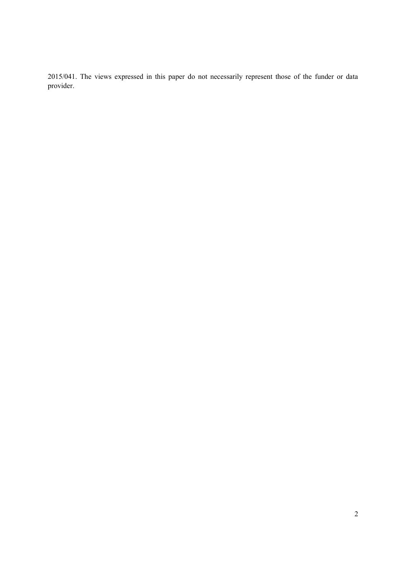2015/041. The views expressed in this paper do not necessarily represent those of the funder or data provider.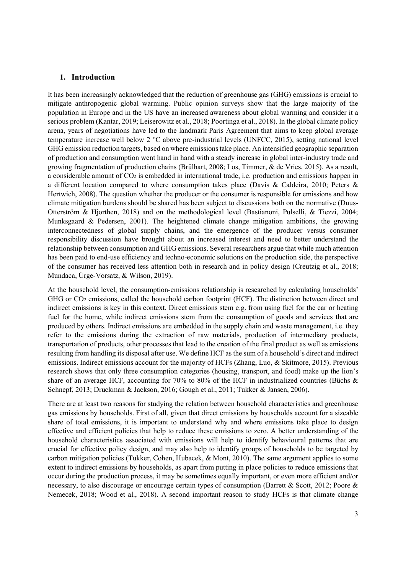# **1. Introduction**

It has been increasingly acknowledged that the reduction of greenhouse gas (GHG) emissions is crucial to mitigate anthropogenic global warming. Public opinion surveys show that the large majority of the population in Europe and in the US have an increased awareness about global warming and consider it a serious problem (Kantar, 2019; Leiserowitz et al., 2018; Poortinga et al., 2018). In the global climate policy arena, years of negotiations have led to the landmark Paris Agreement that aims to keep global average temperature increase well below 2 °C above pre-industrial levels (UNFCC, 2015), setting national level GHG emission reduction targets, based on where emissions take place. An intensified geographic separation of production and consumption went hand in hand with a steady increase in global inter-industry trade and growing fragmentation of production chains (Brülhart, 2008; Los, Timmer, & de Vries, 2015). As a result, a considerable amount of CO<sub>2</sub> is embedded in international trade, i.e. production and emissions happen in a different location compared to where consumption takes place (Davis & Caldeira, 2010; Peters & Hertwich, 2008). The question whether the producer or the consumer is responsible for emissions and how climate mitigation burdens should be shared has been subject to discussions both on the normative (Duus-Otterström & Hjorthen, 2018) and on the methodological level (Bastianoni, Pulselli, & Tiezzi, 2004; Munksgaard & Pedersen, 2001). The heightened climate change mitigation ambitions, the growing interconnectedness of global supply chains, and the emergence of the producer versus consumer responsibility discussion have brought about an increased interest and need to better understand the relationship between consumption and GHG emissions. Several researchers argue that while much attention has been paid to end-use efficiency and techno-economic solutions on the production side, the perspective of the consumer has received less attention both in research and in policy design (Creutzig et al., 2018; Mundaca, Ürge-Vorsatz, & Wilson, 2019).

At the household level, the consumption-emissions relationship is researched by calculating households' GHG or CO2 emissions, called the household carbon footprint (HCF). The distinction between direct and indirect emissions is key in this context. Direct emissions stem e.g. from using fuel for the car or heating fuel for the home, while indirect emissions stem from the consumption of goods and services that are produced by others. Indirect emissions are embedded in the supply chain and waste management, i.e. they refer to the emissions during the extraction of raw materials, production of intermediary products, transportation of products, other processes that lead to the creation of the final product as well as emissions resulting from handling its disposal after use. We define HCF as the sum of a household's direct and indirect emissions. Indirect emissions account for the majority of HCFs (Zhang, Luo, & Skitmore, 2015). Previous research shows that only three consumption categories (housing, transport, and food) make up the lion's share of an average HCF, accounting for 70% to 80% of the HCF in industrialized countries (Büchs & Schnepf, 2013; Druckman & Jackson, 2016; Gough et al., 2011; Tukker & Jansen, 2006).

There are at least two reasons for studying the relation between household characteristics and greenhouse gas emissions by households. First of all, given that direct emissions by households account for a sizeable share of total emissions, it is important to understand why and where emissions take place to design effective and efficient policies that help to reduce these emissions to zero. A better understanding of the household characteristics associated with emissions will help to identify behavioural patterns that are crucial for effective policy design, and may also help to identify groups of households to be targeted by carbon mitigation policies (Tukker, Cohen, Hubacek, & Mont, 2010). The same argument applies to some extent to indirect emissions by households, as apart from putting in place policies to reduce emissions that occur during the production process, it may be sometimes equally important, or even more efficient and/or necessary, to also discourage or encourage certain types of consumption (Barrett & Scott, 2012; Poore & Nemecek, 2018; Wood et al., 2018). A second important reason to study HCFs is that climate change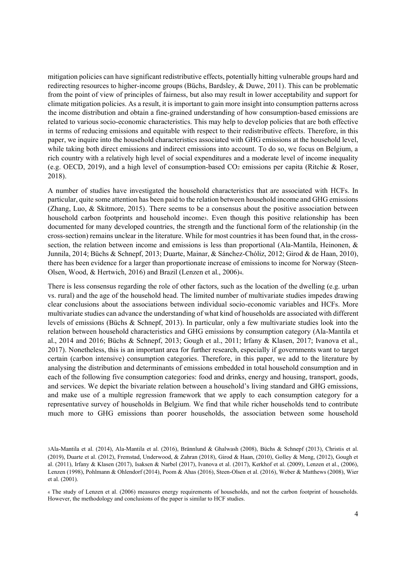mitigation policies can have significant redistributive effects, potentially hitting vulnerable groups hard and redirecting resources to higher-income groups (Büchs, Bardsley, & Duwe, 2011). This can be problematic from the point of view of principles of fairness, but also may result in lower acceptability and support for climate mitigation policies. As a result, it is important to gain more insight into consumption patterns across the income distribution and obtain a fine-grained understanding of how consumption-based emissions are related to various socio-economic characteristics. This may help to develop policies that are both effective in terms of reducing emissions and equitable with respect to their redistributive effects. Therefore, in this paper, we inquire into the household characteristics associated with GHG emissions at the household level, while taking both direct emissions and indirect emissions into account. To do so, we focus on Belgium, a rich country with a relatively high level of social expenditures and a moderate level of income inequality (e.g. OECD, 2019), and a high level of consumption-based CO2 emissions per capita (Ritchie & Roser, 2018).

A number of studies have investigated the household characteristics that are associated with HCFs. In particular, quite some attention has been paid to the relation between household income and GHG emissions (Zhang, Luo, & Skitmore, 2015). There seems to be a consensus about the positive association between household carbon footprints and household income<sub>3</sub>. Even though this positive relationship has been documented for many developed countries, the strength and the functional form of the relationship (in the cross-section) remains unclear in the literature. While for most countries it has been found that, in the crosssection, the relation between income and emissions is less than proportional (Ala-Mantila, Heinonen, & Junnila, 2014; Büchs & Schnepf, 2013; Duarte, Mainar, & Sánchez-Chóliz, 2012; Girod & de Haan, 2010), there has been evidence for a larger than proportionate increase of emissions to income for Norway (Steen-Olsen, Wood, & Hertwich, 2016) and Brazil (Lenzen et al., 2006)4.

There is less consensus regarding the role of other factors, such as the location of the dwelling (e.g. urban vs. rural) and the age of the household head. The limited number of multivariate studies impedes drawing clear conclusions about the associations between individual socio-economic variables and HCFs. More multivariate studies can advance the understanding of what kind of households are associated with different levels of emissions (Büchs & Schnepf, 2013). In particular, only a few multivariate studies look into the relation between household characteristics and GHG emissions by consumption category (Ala-Mantila et al., 2014 and 2016; Büchs & Schnepf, 2013; Gough et al., 2011; Irfany & Klasen, 2017; Ivanova et al., 2017). Nonetheless, this is an important area for further research, especially if governments want to target certain (carbon intensive) consumption categories. Therefore, in this paper, we add to the literature by analysing the distribution and determinants of emissions embedded in total household consumption and in each of the following five consumption categories: food and drinks, energy and housing, transport, goods, and services. We depict the bivariate relation between a household's living standard and GHG emissions, and make use of a multiple regression framework that we apply to each consumption category for a representative survey of households in Belgium. We find that while richer households tend to contribute much more to GHG emissions than poorer households, the association between some household

<sup>3</sup>Ala-Mantila et al. (2014), Ala-Mantila et al. (2016), Brännlund & Ghalwash (2008), Büchs & Schnepf (2013), Christis et al. (2019), Duarte et al. (2012), Fremstad, Underwood, & Zahran (2018), Girod & Haan, (2010), Golley & Meng, (2012), Gough et al. (2011), Irfany & Klasen (2017), Isaksen & Narbel (2017), Ivanova et al. (2017), Kerkhof et al. (2009), Lenzen et al., (2006), Lenzen (1998), Pohlmann & Ohlendorf (2014), Poom & Ahas (2016), Steen-Olsen et al. (2016), Weber & Matthews (2008), Wier et al. (2001).

<sup>4</sup> The study of Lenzen et al. (2006) measures energy requirements of households, and not the carbon footprint of households. However, the methodology and conclusions of the paper is similar to HCF studies.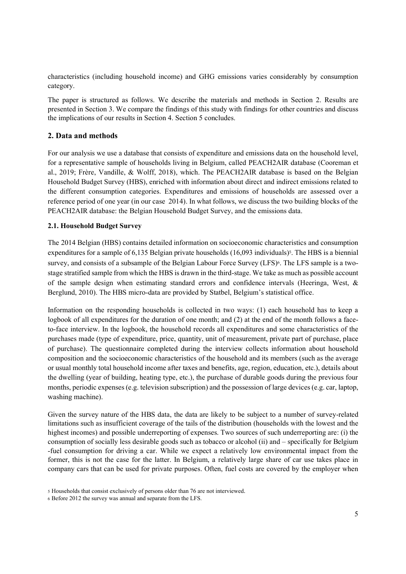characteristics (including household income) and GHG emissions varies considerably by consumption category.

The paper is structured as follows. We describe the materials and methods in Section 2. Results are presented in Section 3. We compare the findings of this study with findings for other countries and discuss the implications of our results in Section 4. Section 5 concludes.

# **2. Data and methods**

For our analysis we use a database that consists of expenditure and emissions data on the household level, for a representative sample of households living in Belgium, called PEACH2AIR database (Cooreman et al., 2019; Frère, Vandille, & Wolff, 2018), which. The PEACH2AIR database is based on the Belgian Household Budget Survey (HBS), enriched with information about direct and indirect emissions related to the different consumption categories. Expenditures and emissions of households are assessed over a reference period of one year (in our case 2014). In what follows, we discuss the two building blocks of the PEACH2AIR database: the Belgian Household Budget Survey, and the emissions data.

# **2.1. Household Budget Survey**

The 2014 Belgian (HBS) contains detailed information on socioeconomic characteristics and consumption expenditures for a sample of 6,135 Belgian private households  $(16,093$  individuals)<sup>5</sup>. The HBS is a biennial survey, and consists of a subsample of the Belgian Labour Force Survey (LFS)<sup>6</sup>. The LFS sample is a twostage stratified sample from which the HBS is drawn in the third-stage. We take as much as possible account of the sample design when estimating standard errors and confidence intervals (Heeringa, West, & Berglund, 2010). The HBS micro-data are provided by Statbel, Belgium's statistical office.

Information on the responding households is collected in two ways: (1) each household has to keep a logbook of all expenditures for the duration of one month; and (2) at the end of the month follows a faceto-face interview. In the logbook, the household records all expenditures and some characteristics of the purchases made (type of expenditure, price, quantity, unit of measurement, private part of purchase, place of purchase). The questionnaire completed during the interview collects information about household composition and the socioeconomic characteristics of the household and its members (such as the average or usual monthly total household income after taxes and benefits, age, region, education, etc.), details about the dwelling (year of building, heating type, etc.), the purchase of durable goods during the previous four months, periodic expenses (e.g. television subscription) and the possession of large devices (e.g. car, laptop, washing machine).

Given the survey nature of the HBS data, the data are likely to be subject to a number of survey-related limitations such as insufficient coverage of the tails of the distribution (households with the lowest and the highest incomes) and possible underreporting of expenses. Two sources of such underreporting are: (i) the consumption of socially less desirable goods such as tobacco or alcohol (ii) and – specifically for Belgium -fuel consumption for driving a car. While we expect a relatively low environmental impact from the former, this is not the case for the latter. In Belgium, a relatively large share of car use takes place in company cars that can be used for private purposes. Often, fuel costs are covered by the employer when

<sup>5</sup> Households that consist exclusively of persons older than 76 are not interviewed.

<sup>6</sup> Before 2012 the survey was annual and separate from the LFS.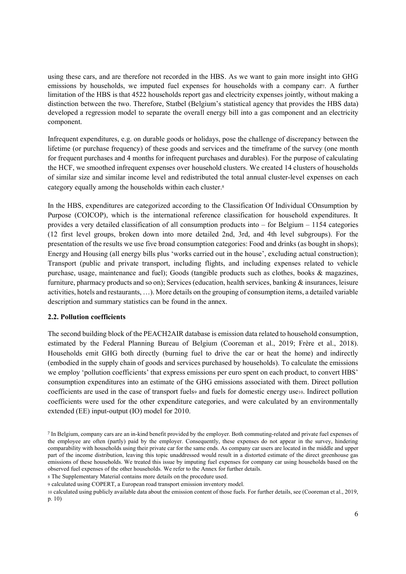using these cars, and are therefore not recorded in the HBS. As we want to gain more insight into GHG emissions by households, we imputed fuel expenses for households with a company car7. A further limitation of the HBS is that 4522 households report gas and electricity expenses jointly, without making a distinction between the two. Therefore, Statbel (Belgium's statistical agency that provides the HBS data) developed a regression model to separate the overall energy bill into a gas component and an electricity component.

Infrequent expenditures, e.g. on durable goods or holidays, pose the challenge of discrepancy between the lifetime (or purchase frequency) of these goods and services and the timeframe of the survey (one month for frequent purchases and 4 months for infrequent purchases and durables). For the purpose of calculating the HCF, we smoothed infrequent expenses over household clusters. We created 14 clusters of households of similar size and similar income level and redistributed the total annual cluster-level expenses on each category equally among the households within each cluster.<sup>8</sup>

In the HBS, expenditures are categorized according to the Classification Of Individual COnsumption by Purpose (COICOP), which is the international reference classification for household expenditures. It provides a very detailed classification of all consumption products into  $-$  for Belgium  $-$  1154 categories (12 first level groups, broken down into more detailed 2nd, 3rd, and 4th level subgroups). For the presentation of the results we use five broad consumption categories: Food and drinks (as bought in shops); Energy and Housing (all energy bills plus 'works carried out in the house', excluding actual construction); Transport (public and private transport, including flights, and including expenses related to vehicle purchase, usage, maintenance and fuel); Goods (tangible products such as clothes, books & magazines, furniture, pharmacy products and so on); Services (education, health services, banking & insurances, leisure activities, hotels and restaurants, ...). More details on the grouping of consumption items, a detailed variable description and summary statistics can be found in the annex.

# **2.2. Pollution coefficients**

The second building block of the PEACH2AIR database is emission data related to household consumption, estimated by the Federal Planning Bureau of Belgium (Cooreman et al., 2019; Frère et al., 2018). Households emit GHG both directly (burning fuel to drive the car or heat the home) and indirectly (embodied in the supply chain of goods and services purchased by households). To calculate the emissions we employ 'pollution coefficients' that express emissions per euro spent on each product, to convert HBS' consumption expenditures into an estimate of the GHG emissions associated with them. Direct pollution coefficients are used in the case of transport fuels and fuels for domestic energy use10. Indirect pollution coefficients were used for the other expenditure categories, and were calculated by an environmentally extended (EE) input-output (IO) model for 2010.

<sup>7</sup> In Belgium, company cars are an in-kind benefit provided by the employer. Both commuting-related and private fuel expenses of the employee are often (partly) paid by the employer. Consequently, these expenses do not appear in the survey, hindering comparability with households using their private car for the same ends. As company car users are located in the middle and upper part of the income distribution, leaving this topic unaddressed would result in a distorted estimate of the direct greenhouse gas emissions of these households. We treated this issue by imputing fuel expenses for company car using households based on the observed fuel expenses of the other households. We refer to the Annex for further details.

<sup>8</sup> The Supplementary Material contains more details on the procedure used.

<sup>9</sup> calculated using COPERT, a European road transport emission inventory model.

<sup>10</sup> calculated using publicly available data about the emission content of those fuels. For further details, see (Cooreman et al., 2019, p. 10)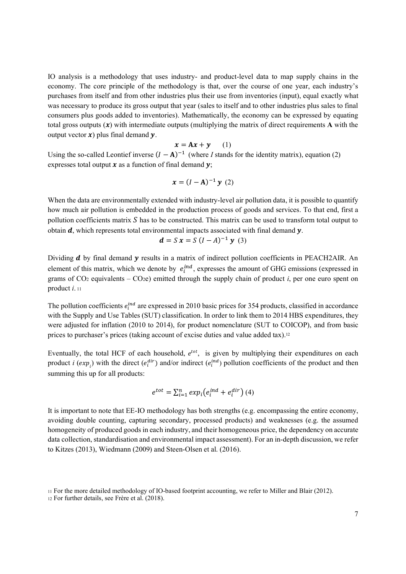IO analysis is a methodology that uses industry- and product-level data to map supply chains in the economy. The core principle of the methodology is that, over the course of one year, each industry's purchases from itself and from other industries plus their use from inventories (input), equal exactly what was necessary to produce its gross output that year (sales to itself and to other industries plus sales to final consumers plus goods added to inventories). Mathematically, the economy can be expressed by equating total gross outputs  $(x)$  with intermediate outputs (multiplying the matrix of direct requirements **A** with the output vector  $\boldsymbol{x}$ ) plus final demand  $\boldsymbol{y}$ .

$$
x = Ax + y \qquad (1)
$$

Using the so-called Leontief inverse  $(I - A)^{-1}$  (where *I* stands for the identity matrix), equation (2) expresses total output  $x$  as a function of final demand  $y$ .

$$
x = (I - A)^{-1} y (2)
$$

When the data are environmentally extended with industry-level air pollution data, it is possible to quantify how much air pollution is embedded in the production process of goods and services. To that end, first a pollution coefficients matrix  $S$  has to be constructed. This matrix can be used to transform total output to obtain  $d$ , which represents total environmental impacts associated with final demand  $\nu$ .

$$
d = S x = S (I - A)^{-1} y (3)
$$

Dividing  $d$  by final demand  $\gamma$  results in a matrix of indirect pollution coefficients in PEACH2AIR. An element of this matrix, which we denote by  $e_i^{ind}$ , expresses the amount of GHG emissions (expressed in grams of  $CO<sub>2</sub>$  equivalents  $- CO<sub>2</sub>e$ ) emitted through the supply chain of product *i*, per one euro spent on product *i*. <sup>11</sup>

The pollution coefficients  $e_i^{ind}$  are expressed in 2010 basic prices for 354 products, classified in accordance with the Supply and Use Tables (SUT) classification. In order to link them to 2014 HBS expenditures, they were adjusted for inflation (2010 to 2014), for product nomenclature (SUT to COICOP), and from basic prices to purchaser's prices (taking account of excise duties and value added tax).<sup>12</sup>

Eventually, the total HCF of each household,  $e^{tot}$ , is given by multiplying their expenditures on each product *i*  $(exp_i)$  with the direct  $(e_i^{dir})$  and/or indirect  $(e_i^{ind})$  pollution coefficients of the product and then summing this up for all products:

$$
e^{tot} = \sum_{i=1}^{n} exp_i(e_i^{ind} + e_i^{dir})
$$
 (4)

It is important to note that EE-IO methodology has both strengths (e.g. encompassing the entire economy, avoiding double counting, capturing secondary, processed products) and weaknesses (e.g. the assumed homogeneity of produced goods in each industry, and their homogeneous price, the dependency on accurate data collection, standardisation and environmental impact assessment). For an in-depth discussion, we refer to Kitzes (2013), Wiedmann (2009) and Steen-Olsen et al. (2016).

<sup>11</sup> For the more detailed methodology of IO-based footprint accounting, we refer to Miller and Blair (2012).

<sup>12</sup> For further details, see Frère et al. (2018).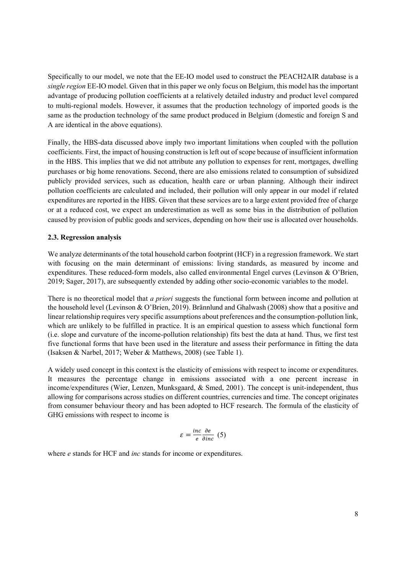Specifically to our model, we note that the EE-IO model used to construct the PEACH2AIR database is a *single region* EE-IO model. Given that in this paper we only focus on Belgium, this model has the important advantage of producing pollution coefficients at a relatively detailed industry and product level compared to multi-regional models. However, it assumes that the production technology of imported goods is the same as the production technology of the same product produced in Belgium (domestic and foreign S and A are identical in the above equations).

Finally, the HBS-data discussed above imply two important limitations when coupled with the pollution coefficients. First, the impact of housing construction is left out of scope because of insufficient information in the HBS. This implies that we did not attribute any pollution to expenses for rent, mortgages, dwelling purchases or big home renovations. Second, there are also emissions related to consumption of subsidized publicly provided services, such as education, health care or urban planning. Although their indirect pollution coefficients are calculated and included, their pollution will only appear in our model if related expenditures are reported in the HBS. Given that these services are to a large extent provided free of charge or at a reduced cost, we expect an underestimation as well as some bias in the distribution of pollution caused by provision of public goods and services, depending on how their use is allocated over households.

# **2.3. Regression analysis**

We analyze determinants of the total household carbon footprint (HCF) in a regression framework. We start with focusing on the main determinant of emissions: living standards, as measured by income and expenditures. These reduced-form models, also called environmental Engel curves (Levinson & O'Brien, 2019; Sager, 2017), are subsequently extended by adding other socio-economic variables to the model.

There is no theoretical model that *a priori* suggests the functional form between income and pollution at the household level (Levinson & O'Brien, 2019). Brännlund and Ghalwash (2008) show that a positive and linear relationship requires very specific assumptions about preferences and the consumption-pollution link, which are unlikely to be fulfilled in practice. It is an empirical question to assess which functional form (i.e. slope and curvature of the income-pollution relationship) fits best the data at hand. Thus, we first test five functional forms that have been used in the literature and assess their performance in fitting the data (Isaksen & Narbel, 2017; Weber & Matthews, 2008) (see Table 1).

A widely used concept in this context is the elasticity of emissions with respect to income or expenditures. It measures the percentage change in emissions associated with a one percent increase in income/expenditures (Wier, Lenzen, Munksgaard, & Smed, 2001). The concept is unit-independent, thus allowing for comparisons across studies on different countries, currencies and time. The concept originates from consumer behaviour theory and has been adopted to HCF research. The formula of the elasticity of GHG emissions with respect to income is

$$
\varepsilon = \frac{inc}{e} \frac{\partial e}{\partial inc} \text{ (5)}
$$

where *e* stands for HCF and *inc* stands for income or expenditures.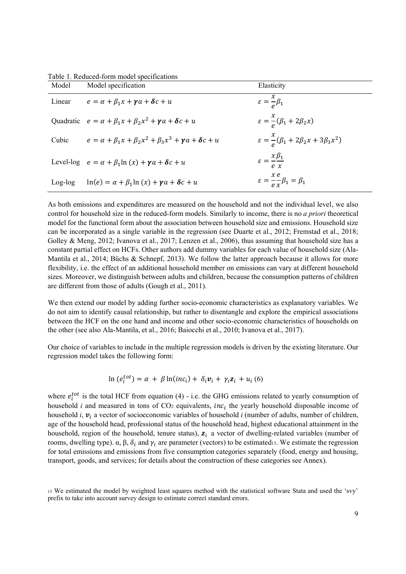Table 1. Reduced-form model specifications

| Model   | Model specification                                                             | Elasticity                                                        |
|---------|---------------------------------------------------------------------------------|-------------------------------------------------------------------|
| Linear  | $e = \alpha + \beta_1 x + \gamma a + \delta c + u$                              | $\epsilon = \frac{x}{a} \beta_1$                                  |
|         | Quadratic $e = \alpha + \beta_1 x + \beta_2 x^2 + \gamma \alpha + \delta c + u$ | $\varepsilon = \frac{x}{e}(\beta_1 + 2\beta_2 x)$                 |
| Cubic   | $e = \alpha + \beta_1 x + \beta_2 x^2 + \beta_3 x^3 + \gamma a + \delta c + u$  | $\varepsilon = \frac{x}{a} (\beta_1 + 2\beta_2 x + 3\beta_3 x^2)$ |
|         | Level-log $e = \alpha + \beta_1 \ln(x) + \gamma a + \delta c + u$               | $\epsilon = \frac{x \beta_1}{4}$<br>$\rho$ $\gamma$               |
| Log-log | $\ln(e) = \alpha + \beta_1 \ln(x) + \gamma a + \delta c + u$                    | $\varepsilon = \frac{x e}{\rho r} \beta_1 = \beta_1$              |

As both emissions and expenditures are measured on the household and not the individual level, we also control for household size in the reduced-form models. Similarly to income, there is no *a priori* theoretical model for the functional form about the association between household size and emissions. Household size can be incorporated as a single variable in the regression (see Duarte et al., 2012; Fremstad et al., 2018; Golley & Meng, 2012; Ivanova et al., 2017; Lenzen et al., 2006), thus assuming that household size has a constant partial effect on HCFs. Other authors add dummy variables for each value of household size (Ala-Mantila et al., 2014; Büchs & Schnepf, 2013). We follow the latter approach because it allows for more flexibility, i.e. the effect of an additional household member on emissions can vary at different household sizes. Moreover, we distinguish between adults and children, because the consumption patterns of children are different from those of adults (Gough et al., 2011).

We then extend our model by adding further socio-economic characteristics as explanatory variables. We do not aim to identify causal relationship, but rather to disentangle and explore the empirical associations between the HCF on the one hand and income and other socio-economic characteristics of households on the other (see also Ala-Mantila, et al., 2016; Baiocchi et al., 2010; Ivanova et al., 2017).

Our choice of variables to include in the multiple regression models is driven by the existing literature. Our regression model takes the following form:

$$
\ln (e_i^{tot}) = \alpha + \beta \ln (inc_i) + \delta_i v_i + \gamma_i z_i + u_i (6)
$$

where  $e_i^{tot}$  is the total HCF from equation (4) - i.e. the GHG emissions related to yearly consumption of household *i* and measured in tons of CO<sub>2</sub> equivalents, *inc<sub>i</sub>* the yearly household disposable income of household *i*,  $v_i$  a vector of socioeconomic variables of household *i* (number of adults, number of children, age of the household head, professional status of the household head, highest educational attainment in the household, region of the household, tenure status),  $z_i$  a vector of dwelling-related variables (number of rooms, dwelling type).  $\alpha$ ,  $\beta$ ,  $\delta_i$  and  $\gamma_i$  are parameter (vectors) to be estimated13. We estimate the regression for total emissions and emissions from five consumption categories separately (food, energy and housing, transport, goods, and services; for details about the construction of these categories see Annex).

<sup>13</sup> We estimated the model by weighted least squares method with the statistical software Stata and used the 'svy' prefix to take into account survey design to estimate correct standard errors.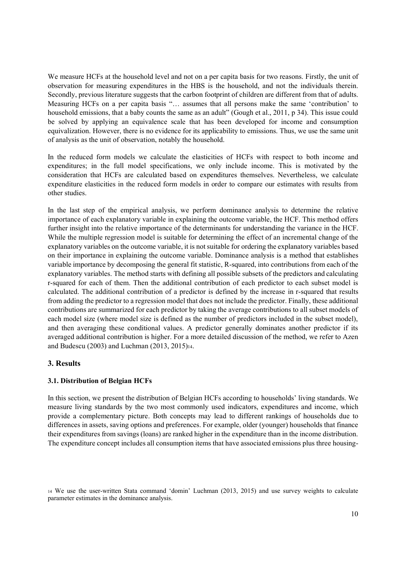We measure HCFs at the household level and not on a per capita basis for two reasons. Firstly, the unit of observation for measuring expenditures in the HBS is the household, and not the individuals therein. Secondly, previous literature suggests that the carbon footprint of children are different from that of adults. Measuring HCFs on a per capita basis "... assumes that all persons make the same 'contribution' to household emissions, that a baby counts the same as an adult" (Gough et al., 2011, p 34). This issue could be solved by applying an equivalence scale that has been developed for income and consumption equivalization. However, there is no evidence for its applicability to emissions. Thus, we use the same unit of analysis as the unit of observation, notably the household.

In the reduced form models we calculate the elasticities of HCFs with respect to both income and expenditures; in the full model specifications, we only include income. This is motivated by the consideration that HCFs are calculated based on expenditures themselves. Nevertheless, we calculate expenditure elasticities in the reduced form models in order to compare our estimates with results from other studies.

In the last step of the empirical analysis, we perform dominance analysis to determine the relative importance of each explanatory variable in explaining the outcome variable, the HCF. This method offers further insight into the relative importance of the determinants for understanding the variance in the HCF. While the multiple regression model is suitable for determining the effect of an incremental change of the explanatory variables on the outcome variable, it is not suitable for ordering the explanatory variables based on their importance in explaining the outcome variable. Dominance analysis is a method that establishes variable importance by decomposing the general fit statistic, R-squared, into contributions from each of the explanatory variables. The method starts with defining all possible subsets of the predictors and calculating r-squared for each of them. Then the additional contribution of each predictor to each subset model is calculated. The additional contribution of a predictor is defined by the increase in r-squared that results from adding the predictor to a regression model that does not include the predictor. Finally, these additional contributions are summarized for each predictor by taking the average contributions to all subset models of each model size (where model size is defined as the number of predictors included in the subset model), and then averaging these conditional values. A predictor generally dominates another predictor if its averaged additional contribution is higher. For a more detailed discussion of the method, we refer to Azen and Budescu (2003) and Luchman (2013, 2015)14.

# **3. Results**

# **3.1. Distribution of Belgian HCFs**

In this section, we present the distribution of Belgian HCFs according to households' living standards. We measure living standards by the two most commonly used indicators, expenditures and income, which provide a complementary picture. Both concepts may lead to different rankings of households due to differences in assets, saving options and preferences. For example, older (younger) households that finance their expenditures from savings (loans) are ranked higher in the expenditure than in the income distribution. The expenditure concept includes all consumption items that have associated emissions plus three housing-

<sup>&</sup>lt;sup>14</sup> We use the user-written Stata command 'domin' Luchman (2013, 2015) and use survey weights to calculate parameter estimates in the dominance analysis.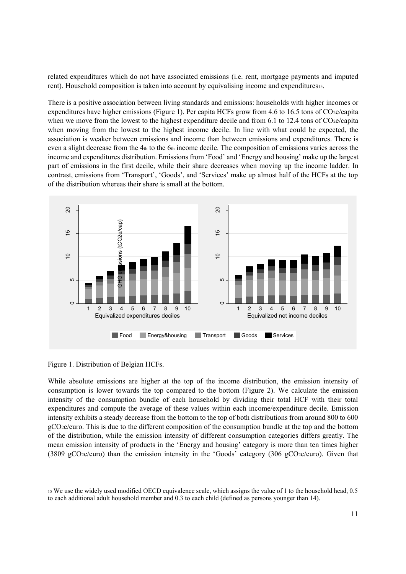related expenditures which do not have associated emissions (i.e. rent, mortgage payments and imputed rent). Household composition is taken into account by equivalising income and expenditures

There is a positive association between living standards and emissions: households with higher incomes or expenditures have higher emissions (Figure 1). Per capita HCFs grow from 4.6 to 16.5 tons of CO2e/capita when we move from the lowest to the highest expenditure decile and from 6.1 to 12.4 tons of CO2e/capita when moving from the lowest to the highest income decile. In line with what could be expected, the association is weaker between emissions and income than between emissions and expenditures. There is even a slight decrease from the  $4<sub>th</sub>$  to the  $6<sub>th</sub>$  income decile. The composition of emissions varies across the income and expenditures distribution. Emissions from 'Food' and 'Energy and housing' make up the largest part of emissions in the first decile, while their share decreases when moving up the income ladder. In contrast, emissions from 'Transport', 'Goods', and 'Services' make up almost half of the HCFs at the top of the distribution whereas their share is small at the bottom.



Figure 1. Distribution of Belgian HCFs.

While absolute emissions are higher at the top of the income distribution, the emission intensity of consumption is lower towards the top compared to the bottom (Figure 2). We calculate the emission intensity of the consumption bundle of each household by dividing their total HCF with their total expenditures and compute the average of these values within each income/expenditure decile. Emission intensity exhibits a steady decrease from the bottom to the top of both distributions from around 800 to 600 gCO2e/euro. This is due to the different composition of the consumption bundle at the top and the bottom of the distribution, while the emission intensity of different consumption categories differs greatly. The mean emission intensity of products in the 'Energy and housing' category is more than ten times higher (3809 gCO<sub>2</sub>e/euro) than the emission intensity in the 'Goods' category (306 gCO<sub>2</sub>e/euro). Given that

<sup>15</sup> We use the widely used modified OECD equivalence scale, which assigns the value of 1 to the household head, 0.5 to each additional adult household member and 0.3 to each child (defined as persons younger than 14).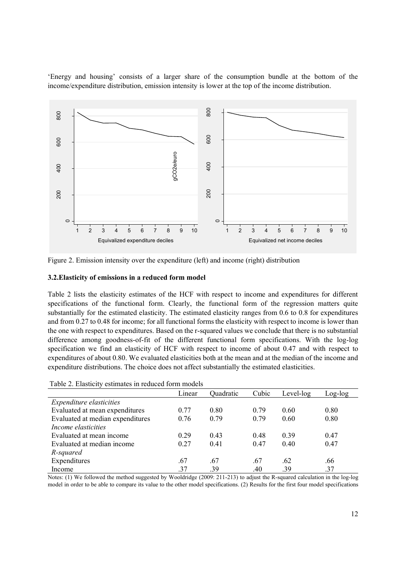µEnergy and housing¶ consists of a larger share of the consumption bundle at the bottom of the income/expenditure distribution, emission intensity is lower at the top of the income distribution.



Figure 2. Emission intensity over the expenditure (left) and income (right) distribution

## **3.2.Elasticity of emissions in a reduced form model**

Table 2 lists the elasticity estimates of the HCF with respect to income and expenditures for different specifications of the functional form. Clearly, the functional form of the regression matters quite substantially for the estimated elasticity. The estimated elasticity ranges from 0.6 to 0.8 for expenditures and from 0.27 to 0.48 for income; for all functional forms the elasticity with respect to income is lower than the one with respect to expenditures. Based on the r-squared values we conclude that there is no substantial difference among goodness-of-fit of the different functional form specifications. With the log-log specification we find an elasticity of HCF with respect to income of about 0.47 and with respect to expenditures of about 0.80. We evaluated elasticities both at the mean and at the median of the income and expenditure distributions. The choice does not affect substantially the estimated elasticities.

| Table 2. Elasticity estimates in reduced form models |        |           |       |           |           |  |  |
|------------------------------------------------------|--------|-----------|-------|-----------|-----------|--|--|
|                                                      | Linear | Quadratic | Cubic | Level-log | $Log-log$ |  |  |
| Expenditure elasticities                             |        |           |       |           |           |  |  |
| Evaluated at mean expenditures                       | 0.77   | 0.80      | 0.79  | 0.60      | 0.80      |  |  |
| Evaluated at median expenditures                     | 0.76   | 0.79      | 0.79  | 0.60      | 0.80      |  |  |
| Income elasticities                                  |        |           |       |           |           |  |  |
| Evaluated at mean income                             | 0.29   | 0.43      | 0.48  | 0.39      | 0.47      |  |  |
| Evaluated at median income                           | 0.27   | 0.41      | 0.47  | 0.40      | 0.47      |  |  |
| R-squared                                            |        |           |       |           |           |  |  |
| Expenditures                                         | .67    | .67       | .67   | .62       | .66       |  |  |
| Income                                               | .37    | .39       | .40   | .39       | .37       |  |  |

Table 2. Elasticity estimates in reduced form models

Notes: (1) We followed the method suggested by Wooldridge (2009: 211-213) to adjust the R-squared calculation in the log-log model in order to be able to compare its value to the other model specifications. (2) Results for the first four model specifications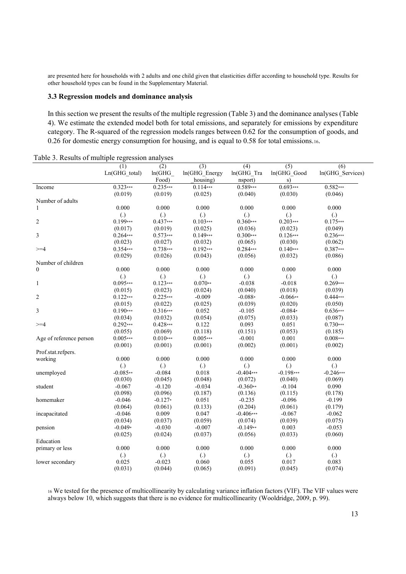are presented here for households with 2 adults and one child given that elasticities differ according to household type. Results for other household types can be found in the Supplementary Material.

#### **3.3 Regression models and dominance analysis**

In this section we present the results of the multiple regression (Table 3) and the dominance analyses (Table 4). We estimate the extended model both for total emissions, and separately for emissions by expenditure category. The R-squared of the regression models ranges between 0.62 for the consumption of goods, and 0.26 for domestic energy consumption for housing, and is equal to 0.58 for total emissions.<sup>16.</sup>

| raoic 5. Results of mumple regression analyses |                     |                     |                   |                   |                     |                     |
|------------------------------------------------|---------------------|---------------------|-------------------|-------------------|---------------------|---------------------|
|                                                | (1)                 | (2)                 | (3)               | (4)               | (5)                 | (6)                 |
|                                                | Ln(GHG total)       | ln(GHG)             | ln(GHG Energy     | ln(GHG Tra        | In(GHG Good         | ln(GHG Services)    |
|                                                |                     | Food)               | housing)          | nsport)           | s)                  |                     |
| Income                                         | $0.323***$          | $0.235***$          | $0.114***$        | $0.589***$        | $0.693***$          | $0.582***$          |
|                                                | (0.019)             | (0.019)             | (0.025)           | (0.040)           | (0.030)             | (0.046)             |
| Number of adults                               |                     |                     |                   |                   |                     |                     |
| 1                                              | 0.000               | 0.000               | 0.000             | 0.000             | 0.000               | 0.000               |
|                                                | $\left( .\right)$   | $\left( .\right)$   | $\left( .\right)$ | $\left( .\right)$ | $\left( .\right)$   | $\left( .\right)$   |
| $\overline{c}$                                 | $0.199***$          | $0.437***$          | $0.103***$        | $0.360***$        | $0.203***$          | $0.175***$          |
|                                                | (0.017)             | (0.019)             | (0.025)           | (0.036)           | (0.023)             | (0.049)             |
| 3                                              | $0.264***$          | $0.573***$          | $0.149***$        | $0.300***$        | $0.126***$          | $0.236***$          |
|                                                | (0.023)             | (0.027)             | (0.032)           | (0.065)           | (0.030)             | (0.062)             |
| $>=$ 4                                         | $0.354***$          | $0.738***$          | $0.192***$        | 0.284***          | $0.140***$          | $0.387***$          |
|                                                | (0.029)             | (0.026)             | (0.043)           | (0.056)           | (0.032)             | (0.086)             |
| Number of children                             |                     |                     |                   |                   |                     |                     |
| $\mathbf{0}$                                   | 0.000               | 0.000               | 0.000             | 0.000             | 0.000               | 0.000               |
|                                                | $\left( .\right)$   | $\left( .\right)$   | $\left( .\right)$ | $\left( .\right)$ | $\left( .\right)$   | $\left( .\right)$   |
| $\mathbf{1}$                                   | $0.095***$          | $0.123***$          | $0.070**$         | $-0.038$          | $-0.018$            | $0.269***$          |
|                                                | (0.015)             | (0.023)             | (0.024)           | (0.040)           | (0.018)             | (0.039)             |
| $\overline{c}$                                 | $0.122***$          | $0.225***$          | $-0.009$          | $-0.088*$         | $-0.066**$          | $0.444***$          |
|                                                | (0.015)             | (0.022)             | (0.025)           | (0.039)           | (0.020)             | (0.050)             |
| 3                                              | $0.190***$          | $0.316***$          | 0.052             | $-0.105$          | $-0.084*$           | $0.636***$          |
|                                                | (0.034)             | (0.032)             | (0.054)           | (0.075)           | (0.033)             | (0.087)             |
| $>=$ 4                                         | $0.292***$          | $0.428***$          | 0.122             | 0.093             | 0.051               | $0.730***$          |
|                                                | (0.055)             | (0.069)             | (0.118)           | (0.151)           | (0.053)             | (0.185)             |
| Age of reference person                        | $0.005***$          | $0.010***$          | $0.005***$        | $-0.001$          | 0.001               | $0.008***$          |
|                                                | (0.001)             | (0.001)             | (0.001)           | (0.002)           | (0.001)             | (0.002)             |
| Prof.stat.refpers.                             |                     |                     |                   |                   |                     |                     |
| working                                        | 0.000               | 0.000               | 0.000             | 0.000             | 0.000               | 0.000               |
|                                                | $\left( .\right)$   | $\left( .\right)$   | $\left( .\right)$ | $\left( .\right)$ | $\left( .\right)$   | $\left( .\right)$   |
| unemployed                                     | $-0.085**$          | $-0.084$            | 0.018             | $-0.404***$       | $-0.198***$         | $-0.246***$         |
|                                                | (0.030)             | (0.045)             | (0.048)           | (0.072)           | (0.040)             | (0.069)             |
|                                                |                     |                     |                   | $-0.360**$        | $-0.104$            |                     |
| student                                        | $-0.067$<br>(0.098) | $-0.120$<br>(0.096) | $-0.034$          |                   |                     | 0.090               |
| homemaker                                      |                     | $-0.127*$           | (0.187)<br>0.051  | (0.136)           | (0.115)<br>$-0.096$ | (0.178)<br>$-0.199$ |
|                                                | $-0.046$            |                     |                   | $-0.235$          |                     |                     |
|                                                | (0.064)             | (0.061)             | (0.133)           | (0.204)           | (0.061)             | (0.179)             |
| incapacitated                                  | $-0.046$            | 0.009               | 0.047             | $-0.406***$       | $-0.067$            | $-0.062$            |
|                                                | (0.034)             | (0.037)             | (0.059)           | (0.074)           | (0.039)             | (0.075)             |
| pension                                        | $-0.049*$           | $-0.030$            | $-0.007$          | $-0.149**$        | 0.003               | $-0.053$            |
|                                                | (0.025)             | (0.024)             | (0.037)           | (0.056)           | (0.033)             | (0.060)             |
| Education                                      |                     |                     |                   |                   |                     |                     |
| primary or less                                | 0.000               | 0.000               | 0.000             | 0.000             | 0.000               | 0.000               |
|                                                | $\left( .\right)$   | $\left( .\right)$   | $\left( .\right)$ | $\left( .\right)$ | $\left( .\right)$   | $\left( .\right)$   |
| lower secondary                                | 0.025               | $-0.023$            | 0.060             | 0.055             | 0.017               | 0.083               |
|                                                | (0.031)             | (0.044)             | (0.065)           | (0.091)           | (0.045)             | (0.074)             |

Table 3. Results of multiple regression analyses

<sup>16</sup> We tested for the presence of multicollinearity by calculating variance inflation factors (VIF). The VIF values were always below 10, which suggests that there is no evidence for multicollinearity (Wooldridge, 2009, p. 99).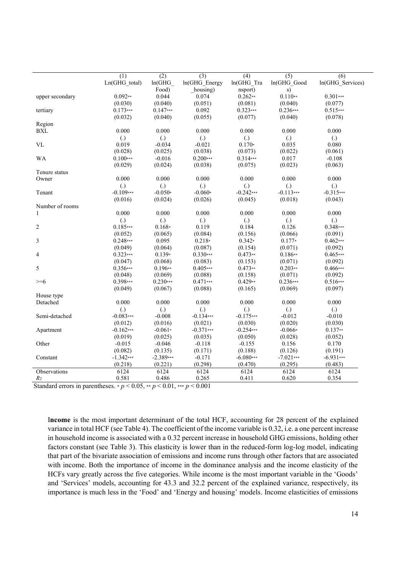|                        | (1)                              | (2)               | (3)                   | (4)                  | (5)                           | (6)                           |
|------------------------|----------------------------------|-------------------|-----------------------|----------------------|-------------------------------|-------------------------------|
|                        | Ln(GHG total)                    | ln(GHG)           | ln(GHG Energy         | ln(GHG Tra           | In(GHG Good                   | ln(GHG Services)              |
|                        |                                  | Food)             | housing)              | nsport)              | s)                            |                               |
| upper secondary        | $0.092**$                        | 0.044             | 0.074                 | $0.262**$            | $0.110**$                     | $0.301***$                    |
|                        | (0.030)                          | (0.040)           | (0.051)               | (0.081)              | (0.040)                       | (0.077)                       |
| tertiary               | $0.173***$                       | $0.147***$        | 0.092                 | $0.323***$           | $0.236***$                    | $0.515***$                    |
|                        | (0.032)                          | (0.040)           | (0.055)               | (0.077)              | (0.040)                       | (0.078)                       |
| Region                 |                                  |                   |                       |                      |                               |                               |
| <b>BXL</b>             | 0.000                            | 0.000             | 0.000                 | 0.000                | 0.000                         | 0.000                         |
|                        | $\left( .\right)$                | $\left( .\right)$ | $\left( .\right)$     | $\left( .\right)$    | $\left( .\right)$             | $\left( .\right)$             |
| <b>VL</b>              | 0.019                            | $-0.034$          | $-0.021$              | $0.170*$             | 0.035                         | 0.080                         |
|                        | (0.028)                          | (0.025)           | (0.038)               | (0.073)              | (0.022)                       | (0.061)                       |
| <b>WA</b>              | $0.100***$                       | $-0.016$          | $0.200***$            | $0.314***$           | 0.017                         | $-0.108$                      |
|                        | (0.029)                          | (0.024)           | (0.038)               | (0.075)              | (0.023)                       | (0.063)                       |
| Tenure status          |                                  |                   |                       |                      |                               |                               |
| Owner                  | 0.000                            | 0.000             | 0.000                 | 0.000                | 0.000                         | 0.000                         |
|                        | $\left( .\right)$                | $\left( .\right)$ | $\left( .\right)$     | $\left( .\right)$    | $\left( .\right)$             | $\left( .\right)$             |
| Tenant                 | $-0.109***$                      | $-0.050*$         | $-0.060*$             | $-0.242***$          | $-0.113***$                   | $-0.315***$                   |
|                        | (0.016)                          | (0.024)           | (0.026)               | (0.045)              | (0.018)                       | (0.043)                       |
| Number of rooms        |                                  |                   |                       |                      |                               |                               |
| 1                      | 0.000                            | 0.000             | 0.000                 | 0.000                | 0.000                         | 0.000                         |
|                        | $\left( .\right)$                | $\left( .\right)$ | $\left( .\right)$     | $\left( .\right)$    | $\left( .\right)$             | $\left( .\right)$             |
| $\overline{c}$         | $0.185***$                       | $0.168*$          | 0.119                 | 0.184                | 0.126                         | $0.348***$                    |
|                        | (0.052)                          | (0.065)           | (0.084)               | (0.156)              | (0.066)                       | (0.091)                       |
| 3                      | $0.248***$                       | 0.095             | $0.218*$              | $0.342*$             | $0.177*$                      | $0.462***$                    |
|                        | (0.049)                          | (0.064)           | (0.087)               | (0.154)              | (0.071)                       | (0.092)                       |
| 4                      | $0.323***$                       | $0.139*$          | $0.330***$            | $0.473**$            | $0.186**$                     | $0.465***$                    |
|                        | (0.047)                          | (0.068)           | (0.083)               | (0.153)              | (0.071)                       | (0.092)                       |
| 5                      | 0.356***                         | $0.196**$         | $0.405***$            | $0.473**$            | $0.203**$                     | $0.466***$                    |
|                        | (0.048)                          | (0.069)           | (0.088)<br>$0.471***$ | (0.158)<br>$0.429**$ | (0.071)<br>$0.236***$         | (0.092)                       |
| $>= 6$                 | 0.398***                         | $0.230***$        |                       |                      |                               | $0.516***$                    |
|                        | (0.049)                          | (0.067)           | (0.088)               | (0.165)              | (0.069)                       | (0.097)                       |
| House type<br>Detached | 0.000                            | 0.000             | 0.000                 | 0.000                | 0.000                         | 0.000                         |
|                        |                                  | $\left( .\right)$ | $\left( .\right)$     | $\left( .\right)$    |                               |                               |
|                        | $\left( .\right)$<br>$-0.083***$ | $-0.008$          | $-0.134***$           | $-0.175***$          | $\left( .\right)$<br>$-0.012$ | $\left( .\right)$<br>$-0.010$ |
| Semi-detached          | (0.012)                          | (0.016)           | (0.021)               | (0.030)              | (0.020)                       | (0.030)                       |
|                        | $-0.162***$                      | $-0.061*$         | $-0.371***$           | $-0.254***$          | $-0.066*$                     | $0.137**$                     |
| Apartment              | (0.019)                          | (0.025)           | (0.035)               | (0.050)              | (0.028)                       | (0.052)                       |
| Other                  | $-0.015$                         | $-0.046$          | $-0.118$              | $-0.155$             | 0.156                         | 0.170                         |
|                        | (0.082)                          | (0.135)           | (0.171)               | (0.188)              | (0.126)                       | (0.191)                       |
| Constant               | $-1.342***$                      | $-2.389***$       | $-0.171$              | $-6.080***$          | $-7.021***$                   | $-6.931***$                   |
|                        | (0.218)                          | (0.221)           | (0.298)               | (0.470)              | (0.295)                       | (0.483)                       |
| Observations           | 6124                             | 6124              | 6124                  | 6124                 | 6124                          | 6124                          |
| R <sub>2</sub>         | 0.581                            | 0.486             | 0.265                 | 0.411                | 0.620                         | 0.354                         |
|                        |                                  |                   |                       |                      |                               |                               |

Standard errors in parentheses.  $* p < 0.05$ ,  $* p < 0.01$ ,  $* * p < 0.001$ 

I**ncome** is the most important determinant of the total HCF, accounting for 28 percent of the explained variance in total HCF (see Table 4). The coefficient of the income variable is 0.32, i.e. a one percent increase in household income is associated with a 0.32 percent increase in household GHG emissions, holding other factors constant (see Table 3). This elasticity is lower than in the reduced-form log-log model, indicating that part of the bivariate association of emissions and income runs through other factors that are associated with income. Both the importance of income in the dominance analysis and the income elasticity of the HCFs vary greatly across the five categories. While income is the most important variable in the 'Goods' and 'Services' models, accounting for 43.3 and 32.2 percent of the explained variance, respectively, its importance is much less in the 'Food' and 'Energy and housing' models. Income elasticities of emissions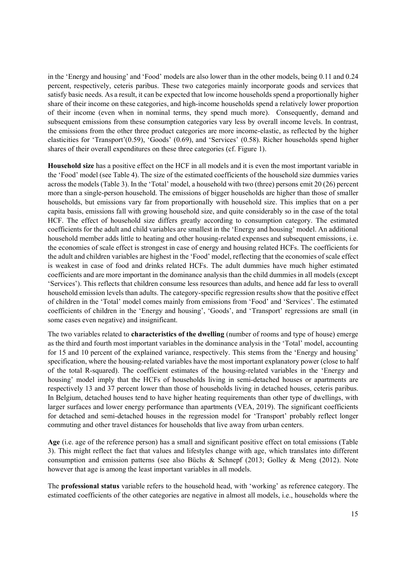in the 'Energy and housing' and 'Food' models are also lower than in the other models, being 0.11 and 0.24 percent, respectively, ceteris paribus. These two categories mainly incorporate goods and services that satisfy basic needs. As a result, it can be expected that low income households spend a proportionally higher share of their income on these categories, and high-income households spend a relatively lower proportion of their income (even when in nominal terms, they spend much more). Consequently, demand and subsequent emissions from these consumption categories vary less by overall income levels. In contrast, the emissions from the other three product categories are more income-elastic, as reflected by the higher elasticities for 'Transport' $(0.59)$ , 'Goods'  $(0.69)$ , and 'Services'  $(0.58)$ . Richer households spend higher shares of their overall expenditures on these three categories (cf. Figure 1).

**Household size** has a positive effect on the HCF in all models and it is even the most important variable in the 'Food' model (see Table 4). The size of the estimated coefficients of the household size dummies varies across the models (Table 3). In the 'Total' model, a household with two (three) persons emit 20 (26) percent more than a single-person household. The emissions of bigger households are higher than those of smaller households, but emissions vary far from proportionally with household size. This implies that on a per capita basis, emissions fall with growing household size, and quite considerably so in the case of the total HCF. The effect of household size differs greatly according to consumption category. The estimated coefficients for the adult and child variables are smallest in the 'Energy and housing' model. An additional household member adds little to heating and other housing-related expenses and subsequent emissions, i.e. the economies of scale effect is strongest in case of energy and housing related HCFs. The coefficients for the adult and children variables are highest in the 'Food' model, reflecting that the economies of scale effect is weakest in case of food and drinks related HCFs. The adult dummies have much higher estimated coefficients and are more important in the dominance analysis than the child dummies in all models (except 'Services'). This reflects that children consume less resources than adults, and hence add far less to overall household emission levels than adults. The category-specific regression results show that the positive effect of children in the 'Total' model comes mainly from emissions from 'Food' and 'Services'. The estimated coefficients of children in the 'Energy and housing', 'Goods', and 'Transport' regressions are small (in some cases even negative) and insignificant.

The two variables related to **characteristics of the dwelling** (number of rooms and type of house) emerge as the third and fourth most important variables in the dominance analysis in the 'Total' model, accounting for 15 and 10 percent of the explained variance, respectively. This stems from the 'Energy and housing' specification, where the housing-related variables have the most important explanatory power (close to half of the total R-squared). The coefficient estimates of the housing-related variables in the 'Energy and housing' model imply that the HCFs of households living in semi-detached houses or apartments are respectively 13 and 37 percent lower than those of households living in detached houses, ceteris paribus. In Belgium, detached houses tend to have higher heating requirements than other type of dwellings, with larger surfaces and lower energy performance than apartments (VEA, 2019). The significant coefficients for detached and semi-detached houses in the regression model for 'Transport' probably reflect longer commuting and other travel distances for households that live away from urban centers.

**Age** (i.e. age of the reference person) has a small and significant positive effect on total emissions (Table 3). This might reflect the fact that values and lifestyles change with age, which translates into different consumption and emission patterns (see also Büchs & Schnepf (2013; Golley & Meng (2012). Note however that age is among the least important variables in all models.

The **professional status** variable refers to the household head, with 'working' as reference category. The estimated coefficients of the other categories are negative in almost all models, i.e., households where the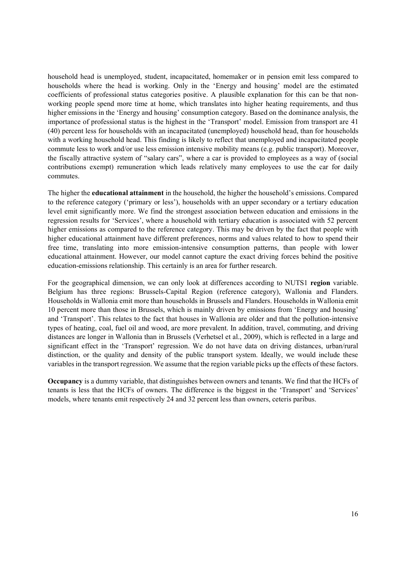household head is unemployed, student, incapacitated, homemaker or in pension emit less compared to households where the head is working. Only in the 'Energy and housing' model are the estimated coefficients of professional status categories positive. A plausible explanation for this can be that nonworking people spend more time at home, which translates into higher heating requirements, and thus higher emissions in the 'Energy and housing' consumption category. Based on the dominance analysis, the importance of professional status is the highest in the 'Transport' model. Emission from transport are 41 (40) percent less for households with an incapacitated (unemployed) household head, than for households with a working household head. This finding is likely to reflect that unemployed and incapacitated people commute less to work and/or use less emission intensive mobility means (e.g. public transport). Moreover, the fiscally attractive system of "salary cars", where a car is provided to employees as a way of (social contributions exempt) remuneration which leads relatively many employees to use the car for daily commutes.

The higher the **educational attainment** in the household, the higher the household's emissions. Compared to the reference category ('primary or less'), households with an upper secondary or a tertiary education level emit significantly more. We find the strongest association between education and emissions in the regression results for 'Services', where a household with tertiary education is associated with 52 percent higher emissions as compared to the reference category. This may be driven by the fact that people with higher educational attainment have different preferences, norms and values related to how to spend their free time, translating into more emission-intensive consumption patterns, than people with lower educational attainment. However, our model cannot capture the exact driving forces behind the positive education-emissions relationship. This certainly is an area for further research.

For the geographical dimension, we can only look at differences according to NUTS1 **region** variable. Belgium has three regions: Brussels-Capital Region (reference category), Wallonia and Flanders. Households in Wallonia emit more than households in Brussels and Flanders. Households in Wallonia emit 10 percent more than those in Brussels, which is mainly driven by emissions from 'Energy and housing' and 'Transport'. This relates to the fact that houses in Wallonia are older and that the pollution-intensive types of heating, coal, fuel oil and wood, are more prevalent. In addition, travel, commuting, and driving distances are longer in Wallonia than in Brussels (Verhetsel et al., 2009), which is reflected in a large and significant effect in the 'Transport' regression. We do not have data on driving distances, urban/rural distinction, or the quality and density of the public transport system. Ideally, we would include these variables in the transport regression. We assume that the region variable picks up the effects of these factors.

**Occupancy** is a dummy variable, that distinguishes between owners and tenants. We find that the HCFs of tenants is less that the HCFs of owners. The difference is the biggest in the 'Transport' and 'Services' models, where tenants emit respectively 24 and 32 percent less than owners, ceteris paribus.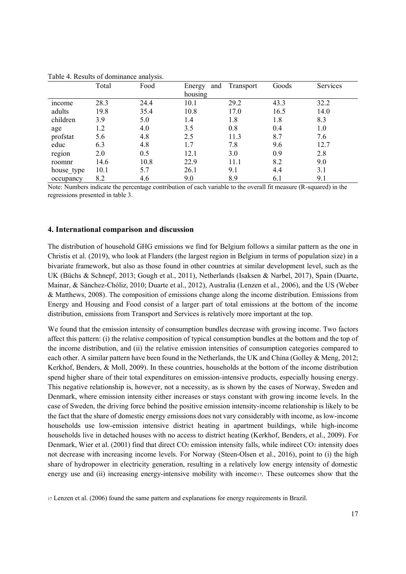|            | Total | $\tilde{\phantom{a}}$<br>Food | and<br>Energy | Transport | Goods | Services |
|------------|-------|-------------------------------|---------------|-----------|-------|----------|
|            |       |                               | housing       |           |       |          |
| income     | 28.3  | 24.4                          | 10.1          | 29.2      | 43.3  | 32.2     |
| adults     | 19.8  | 35.4                          | 10.8          | 17.0      | 16.5  | 14.0     |
| children   | 3.9   | 5.0                           | 1.4           | 1.8       | 1.8   | 8.3      |
| age        | 1.2   | 4.0                           | 3.5           | 0.8       | 0.4   | 1.0      |
| profstat   | 5.6   | 4.8                           | 2.5           | 11.3      | 8.7   | 7.6      |
| educ       | 6.3   | 4.8                           | 1.7           | 7.8       | 9.6   | 12.7     |
| region     | 2.0   | 0.5                           | 12.1          | 3.0       | 0.9   | 2.8      |
| roomnr     | 14.6  | 10.8                          | 22.9          | 11.1      | 8.2   | 9.0      |
| house type | 10.1  | 5.7                           | 26.1          | 9.1       | 4.4   | 3.1      |
| occupancy  | 8.2   | 4.6                           | 9.0           | 8.9       | 6.1   | 9.1      |

Table 4. Results of dominance analysis.

Note: Numbers indicate the percentage contribution of each variable to the overall fit measure (R-squared) in the regressions presented in table 3.

# **4. International comparison and discussion**

The distribution of household GHG emissions we find for Belgium follows a similar pattern as the one in Christis et al. (2019), who look at Flanders (the largest region in Belgium in terms of population size) in a bivariate framework, but also as those found in other countries at similar development level, such as the UK (Büchs & Schnepf, 2013; Gough et al., 2011), Netherlands (Isaksen & Narbel, 2017), Spain (Duarte, Mainar, & Sánchez-Chóliz, 2010; Duarte et al., 2012), Australia (Lenzen et al., 2006), and the US (Weber & Matthews, 2008). The composition of emissions change along the income distribution. Emissions from Energy and Housing and Food consist of a larger part of total emissions at the bottom of the income distribution, emissions from Transport and Services is relatively more important at the top.

We found that the emission intensity of consumption bundles decrease with growing income. Two factors affect this pattern: (i) the relative composition of typical consumption bundles at the bottom and the top of the income distribution, and (ii) the relative emission intensities of consumption categories compared to each other. A similar pattern have been found in the Netherlands, the UK and China (Golley & Meng, 2012; Kerkhof, Benders, & Moll, 2009). In these countries, households at the bottom of the income distribution spend higher share of their total expenditures on emission-intensive products, especially housing energy. This negative relationship is, however, not a necessity, as is shown by the cases of Norway, Sweden and Denmark, where emission intensity either increases or stays constant with growing income levels. In the case of Sweden, the driving force behind the positive emission intensity-income relationship is likely to be the fact that the share of domestic energy emissions does not vary considerably with income, as low-income households use low-emission intensive district heating in apartment buildings, while high-income households live in detached houses with no access to district heating (Kerkhof, Benders, et al., 2009). For Denmark, Wier et al. (2001) find that direct CO<sub>2</sub> emission intensity falls, while indirect CO<sub>2</sub> intensity does not decrease with increasing income levels. For Norway (Steen-Olsen et al., 2016), point to (i) the high share of hydropower in electricity generation, resulting in a relatively low energy intensity of domestic energy use and (ii) increasing energy-intensive mobility with income<sub>17</sub>. These outcomes show that the

<sup>17</sup> Lenzen et al. (2006) found the same pattern and explanations for energy requirements in Brazil.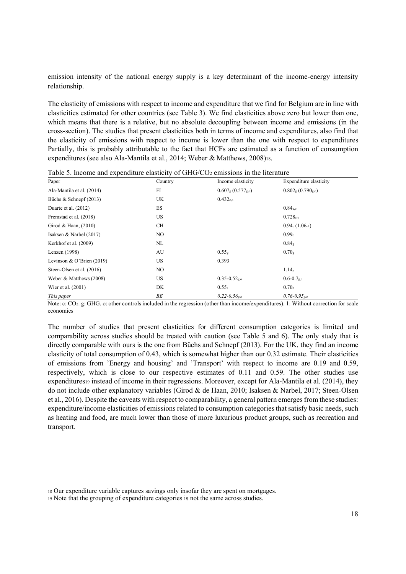emission intensity of the national energy supply is a key determinant of the income-energy intensity relationship.

The elasticity of emissions with respect to income and expenditure that we find for Belgium are in line with elasticities estimated for other countries (see Table 3). We find elasticities above zero but lower than one, which means that there is a relative, but no absolute decoupling between income and emissions (in the cross-section). The studies that present elasticities both in terms of income and expenditures, also find that the elasticity of emissions with respect to income is lower than the one with respect to expenditures Partially, this is probably attributable to the fact that HCFs are estimated as a function of consumption expenditures (see also Ala-Mantila et al., 2014; Weber & Matthews, 2008)18.

| Paper                       | Country | Income elasticity            | Expenditure elasticity       |
|-----------------------------|---------|------------------------------|------------------------------|
| Ala-Mantila et al. (2014)   | FI      | $0.607g (0.577g,o)$          | $0.802g (0.790g,o)$          |
| Büchs & Schnepf (2013)      | UK      | $0.432_{c,o}$                |                              |
| Duarte et al. (2012)        | ES      |                              | 0.84 <sub>c,o</sub>          |
| Fremstad et al. (2018)      | US      |                              | $0.728_{c,o}$                |
| Girod & Haan, $(2010)$      | CH      |                              | 0.94c(1.06c1)                |
| Isaksen & Narbel $(2017)$   | NO.     |                              | 0.99c                        |
| Kerkhof et al. (2009)       | NL      |                              | 0.84 <sub>g</sub>            |
| Lenzen (1998)               | AU      | 0.55 <sub>g</sub>            | 0.70 <sub>g</sub>            |
| Levinson & O'Brien $(2019)$ | US.     | 0.393                        |                              |
| Steen-Olsen et al. (2016)   | NO.     |                              | 1.14 <sub>g</sub>            |
| Weber & Matthews (2008)     | US      | $0.35 - 0.52_{g,o}$          | $0.6 - 0.7$ go               |
| Wier et al. (2001)          | DK      | 0.55c                        | 0.70c                        |
| This paper                  | BЕ      | $0.22 - 0.56$ <sub>g.o</sub> | $0.76 - 0.95$ <sub>g.o</sub> |

Table 5. Income and expenditure elasticity of GHG/CO2 emissions in the literature

Note: c: CO2. g: GHG. o: other controls included in the regression (other than income/expenditures). 1: Without correction for scale economies

The number of studies that present elasticities for different consumption categories is limited and comparability across studies should be treated with caution (see Table 5 and 6). The only study that is directly comparable with ours is the one from Büchs and Schnepf (2013). For the UK, they find an income elasticity of total consumption of 0.43, which is somewhat higher than our 0.32 estimate. Their elasticities of emissions from 'Energy and housing' and 'Transport' with respect to income are 0.19 and 0.59, respectively, which is close to our respective estimates of 0.11 and 0.59. The other studies use expenditures<sup>19</sup> instead of income in their regressions. Moreover, except for Ala-Mantila et al. (2014), they do not include other explanatory variables (Girod & de Haan, 2010; Isaksen & Narbel, 2017; Steen-Olsen et al., 2016). Despite the caveats with respect to comparability, a general pattern emerges from these studies: expenditure/income elasticities of emissions related to consumption categories that satisfy basic needs, such as heating and food, are much lower than those of more luxurious product groups, such as recreation and transport.

<sup>18</sup> Our expenditure variable captures savings only insofar they are spent on mortgages.

<sup>19</sup> Note that the grouping of expenditure categories is not the same across studies.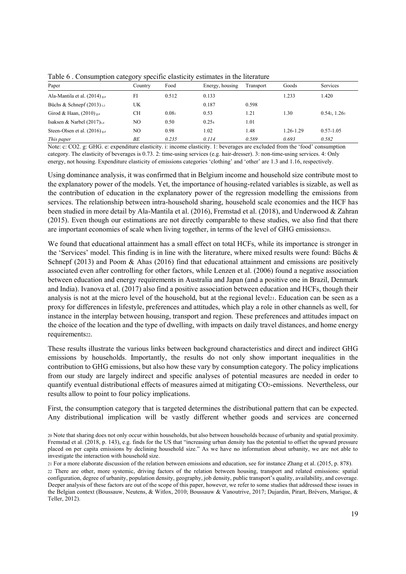| Tuoto o . Consumption category specific chistreny commutes in the incriting |         |       |                 |           |           |                                           |
|-----------------------------------------------------------------------------|---------|-------|-----------------|-----------|-----------|-------------------------------------------|
| Paper                                                                       | Country | Food  | Energy, housing | Transport | Goods     | <b>Services</b>                           |
| Ala-Mantila et al. $(2014)$ <sub>g,e</sub>                                  | FI      | 0.512 | 0.133           |           | 1.233     | 1.420                                     |
| Büchs & Schnepf $(2013)$ <sub>c.i</sub>                                     | UK      |       | 0.187           | 0.598     |           |                                           |
| Girod & Haan, $(2010)$ <sub>g,e</sub>                                       | СH      | 0.081 | 0.53            | 1.21      | 1.30      | $0.54$ <sub>2</sub> , $1.26$ <sub>3</sub> |
| Isaksen & Narbel $(2017)_{c,e}$                                             | NO      | 0.50  | 0.254           | 1.01      |           |                                           |
| Steen-Olsen et al. $(2016)$ <sub>g,e</sub>                                  | NO      | 0.98  | 1.02            | 1.48      | 1.26-1.29 | $0.57 - 1.05$                             |
| This paper                                                                  | BЕ      | 0.235 | 0.114           | 0.589     | 0.693     | 0.582                                     |

Table 6 . Consumption category specific elasticity estimates in the literature

Note: c:  $CO2$ . g: GHG. e: expenditure elasticity. i: income elasticity. 1: beverages are excluded from the 'food' consumption category. The elasticity of beverages is 0.73. 2: time-using services (e.g. hair-dresser). 3: non-time-using services. 4: Only energy, not housing. Expenditure elasticity of emissions categories 'clothing' and 'other' are 1.3 and 1.16, respectively.

Using dominance analysis, it was confirmed that in Belgium income and household size contribute most to the explanatory power of the models. Yet, the importance of housing-related variables is sizable, as well as the contribution of education in the explanatory power of the regression modelling the emissions from services. The relationship between intra-household sharing, household scale economies and the HCF has been studied in more detail by Ala-Mantila et al. (2016), Fremstad et al. (2018), and Underwood & Zahran (2015). Even though our estimations are not directly comparable to these studies, we also find that there are important economies of scale when living together, in terms of the level of GHG emissions20.

We found that educational attainment has a small effect on total HCFs, while its importance is stronger in the 'Services' model. This finding is in line with the literature, where mixed results were found: Büchs  $\&$ Schnepf (2013) and Poom & Ahas (2016) find that educational attainment and emissions are positively associated even after controlling for other factors, while Lenzen et al. (2006) found a negative association between education and energy requirements in Australia and Japan (and a positive one in Brazil, Denmark and India). Ivanova et al. (2017) also find a positive association between education and HCFs, though their analysis is not at the micro level of the household, but at the regional level  $21$ . Education can be seen as a proxy for differences in lifestyle, preferences and attitudes, which play a role in other channels as well, for instance in the interplay between housing, transport and region. These preferences and attitudes impact on the choice of the location and the type of dwelling, with impacts on daily travel distances, and home energy requirements<sub>22</sub>.

These results illustrate the various links between background characteristics and direct and indirect GHG emissions by households. Importantly, the results do not only show important inequalities in the contribution to GHG emissions, but also how these vary by consumption category. The policy implications from our study are largely indirect and specific analyses of potential measures are needed in order to quantify eventual distributional effects of measures aimed at mitigating CO2-emissions. Nevertheless, our results allow to point to four policy implications.

First, the consumption category that is targeted determines the distributional pattern that can be expected. Any distributional implication will be vastly different whether goods and services are concerned

<sup>20</sup> Note that sharing does not only occur within households, but also between households because of urbanity and spatial proximity. Fremstad et al. (2018, p. 143), e.g. finds for the US that "increasing urban density has the potential to offset the upward pressure placed on per capita emissions by declining household size." As we have no information about urbanity, we are not able to investigate the interaction with household size.

<sup>21</sup> For a more elaborate discussion of the relation between emissions and education, see for instance Zhang et al. (2015, p. 878). 22 There are other, more systemic, driving factors of the relation between housing, transport and related emissions: spatial configuration, degree of urbanity, population density, geography, job density, public transport's quality, availability, and coverage. Deeper analysis of these factors are out of the scope of this paper, however, we refer to some studies that addressed these issues in the Belgian context (Boussauw, Neutens, & Witlox, 2010; Boussauw & Vanoutrive, 2017; Dujardin, Pirart, Brévers, Marique, & Teller, 2012).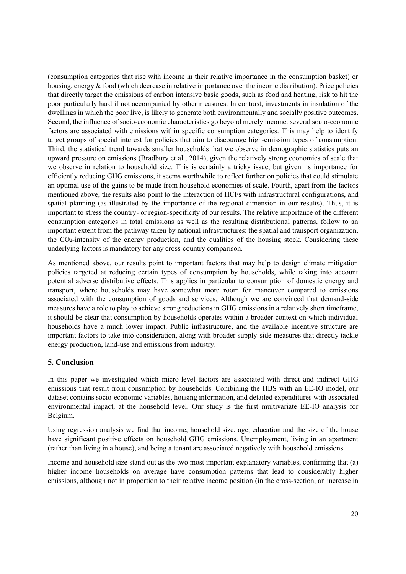(consumption categories that rise with income in their relative importance in the consumption basket) or housing, energy & food (which decrease in relative importance over the income distribution). Price policies that directly target the emissions of carbon intensive basic goods, such as food and heating, risk to hit the poor particularly hard if not accompanied by other measures. In contrast, investments in insulation of the dwellings in which the poor live, is likely to generate both environmentally and socially positive outcomes. Second, the influence of socio-economic characteristics go beyond merely income: several socio-economic factors are associated with emissions within specific consumption categories. This may help to identify target groups of special interest for policies that aim to discourage high-emission types of consumption. Third, the statistical trend towards smaller households that we observe in demographic statistics puts an upward pressure on emissions (Bradbury et al., 2014), given the relatively strong economies of scale that we observe in relation to household size. This is certainly a tricky issue, but given its importance for efficiently reducing GHG emissions, it seems worthwhile to reflect further on policies that could stimulate an optimal use of the gains to be made from household economies of scale. Fourth, apart from the factors mentioned above, the results also point to the interaction of HCFs with infrastructural configurations, and spatial planning (as illustrated by the importance of the regional dimension in our results). Thus, it is important to stress the country- or region-specificity of our results. The relative importance of the different consumption categories in total emissions as well as the resulting distributional patterns, follow to an important extent from the pathway taken by national infrastructures: the spatial and transport organization, the CO2-intensity of the energy production, and the qualities of the housing stock. Considering these underlying factors is mandatory for any cross-country comparison.

As mentioned above, our results point to important factors that may help to design climate mitigation policies targeted at reducing certain types of consumption by households, while taking into account potential adverse distributive effects. This applies in particular to consumption of domestic energy and transport, where households may have somewhat more room for maneuver compared to emissions associated with the consumption of goods and services. Although we are convinced that demand-side measures have a role to play to achieve strong reductions in GHG emissions in a relatively short timeframe, it should be clear that consumption by households operates within a broader context on which individual households have a much lower impact. Public infrastructure, and the available incentive structure are important factors to take into consideration, along with broader supply-side measures that directly tackle energy production, land-use and emissions from industry.

# **5. Conclusion**

In this paper we investigated which micro-level factors are associated with direct and indirect GHG emissions that result from consumption by households. Combining the HBS with an EE-IO model, our dataset contains socio-economic variables, housing information, and detailed expenditures with associated environmental impact, at the household level. Our study is the first multivariate EE-IO analysis for Belgium.

Using regression analysis we find that income, household size, age, education and the size of the house have significant positive effects on household GHG emissions. Unemployment, living in an apartment (rather than living in a house), and being a tenant are associated negatively with household emissions.

Income and household size stand out as the two most important explanatory variables, confirming that (a) higher income households on average have consumption patterns that lead to considerably higher emissions, although not in proportion to their relative income position (in the cross-section, an increase in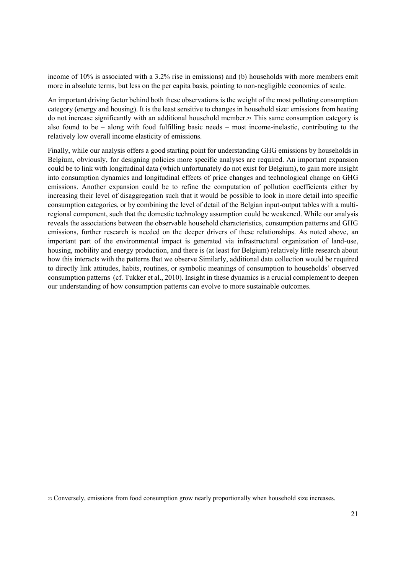income of 10% is associated with a 3.2% rise in emissions) and (b) households with more members emit more in absolute terms, but less on the per capita basis, pointing to non-negligible economies of scale.

An important driving factor behind both these observations is the weight of the most polluting consumption category (energy and housing). It is the least sensitive to changes in household size: emissions from heating do not increase significantly with an additional household member.23 This same consumption category is also found to be  $-$  along with food fulfilling basic needs  $-$  most income-inelastic, contributing to the relatively low overall income elasticity of emissions.

Finally, while our analysis offers a good starting point for understanding GHG emissions by households in Belgium, obviously, for designing policies more specific analyses are required. An important expansion could be to link with longitudinal data (which unfortunately do not exist for Belgium), to gain more insight into consumption dynamics and longitudinal effects of price changes and technological change on GHG emissions. Another expansion could be to refine the computation of pollution coefficients either by increasing their level of disaggregation such that it would be possible to look in more detail into specific consumption categories, or by combining the level of detail of the Belgian input-output tables with a multiregional component, such that the domestic technology assumption could be weakened. While our analysis reveals the associations between the observable household characteristics, consumption patterns and GHG emissions, further research is needed on the deeper drivers of these relationships. As noted above, an important part of the environmental impact is generated via infrastructural organization of land-use, housing, mobility and energy production, and there is (at least for Belgium) relatively little research about how this interacts with the patterns that we observe Similarly, additional data collection would be required to directly link attitudes, habits, routines, or symbolic meanings of consumption to households' observed consumption patterns (cf. Tukker et al., 2010). Insight in these dynamics is a crucial complement to deepen our understanding of how consumption patterns can evolve to more sustainable outcomes.

<sup>23</sup> Conversely, emissions from food consumption grow nearly proportionally when household size increases.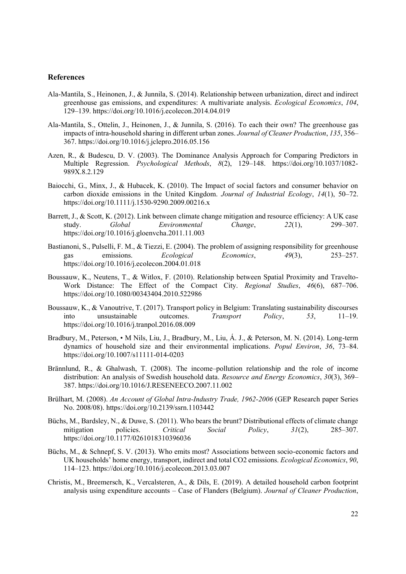## **References**

- Ala-Mantila, S., Heinonen, J., & Junnila, S. (2014). Relationship between urbanization, direct and indirect greenhouse gas emissions, and expenditures: A multivariate analysis. *Ecological Economics*, *104*, 129±139. https://doi.org/10.1016/j.ecolecon.2014.04.019
- Ala-Mantila, S., Ottelin, J., Heinonen, J., & Junnila, S. (2016). To each their own? The greenhouse gas impacts of intra-household sharing in different urban zones. *Journal of Cleaner Production*, *135*, 356± 367. https://doi.org/10.1016/j.jclepro.2016.05.156
- Azen, R., & Budescu, D. V. (2003). The Dominance Analysis Approach for Comparing Predictors in Multiple Regression. *Psychological Methods*, 8(2), 129-148. https://doi.org/10.1037/1082-989X.8.2.129
- Baiocchi, G., Minx, J., & Hubacek, K. (2010). The Impact of social factors and consumer behavior on carbon dioxide emissions in the United Kingdom. *Journal of Industrial Ecology*,  $14(1)$ , 50–72. https://doi.org/10.1111/j.1530-9290.2009.00216.x
- Barrett, J., & Scott, K. (2012). Link between climate change mitigation and resource efficiency: A UK case study. *Global Environmental Change*,  $22(1)$ ,  $299-307$ . https://doi.org/10.1016/j.gloenvcha.2011.11.003
- Bastianoni, S., Pulselli, F. M., & Tiezzi, E. (2004). The problem of assigning responsibility for greenhouse gas emissions. *Ecological Economics*, *49*(3), 253±257. https://doi.org/10.1016/j.ecolecon.2004.01.018
- Boussauw, K., Neutens, T., & Witlox, F. (2010). Relationship between Spatial Proximity and Travelto-Work Distance: The Effect of the Compact City. *Regional Studies*, 46(6), 687–706. https://doi.org/10.1080/00343404.2010.522986
- Boussauw, K., & Vanoutrive, T. (2017). Transport policy in Belgium: Translating sustainability discourses into unsustainable outcomes. *Transport Policy*, 53, 11–19. https://doi.org/10.1016/j.tranpol.2016.08.009
- Bradbury, M., Peterson, M Nils, Liu, J., Bradbury, M., Liu, Á. J., & Peterson, M. N. (2014). Long-term dynamics of household size and their environmental implications. *Popul Environ*, 36, 73–84. https://doi.org/10.1007/s11111-014-0203
- Brännlund, R., & Ghalwash, T. (2008). The income-pollution relationship and the role of income distribution: An analysis of Swedish household data. *Resource and Energy Economics*, *30*(3), 369± 387. https://doi.org/10.1016/J.RESENEECO.2007.11.002
- Brülhart, M. (2008). *An Account of Global Intra-Industry Trade, 1962-2006* (GEP Research paper Series No. 2008/08). https://doi.org/10.2139/ssrn.1103442
- Büchs, M., Bardsley, N., & Duwe, S. (2011). Who bears the brunt? Distributional effects of climate change mitigation policies. Critical Social Policy, 31(2), 285–307. mitigation policies. *Critical Social Policy*, 31(2), 285–307. https://doi.org/10.1177/0261018310396036
- Büchs, M., & Schnepf, S. V. (2013). Who emits most? Associations between socio-economic factors and UK households' home energy, transport, indirect and total CO2 emissions. *Ecological Economics*, 90, 114±123. https://doi.org/10.1016/j.ecolecon.2013.03.007
- Christis, M., Breemersch, K., Vercalsteren, A., & Dils, E. (2019). A detailed household carbon footprint analysis using expenditure accounts - Case of Flanders (Belgium). *Journal of Cleaner Production*,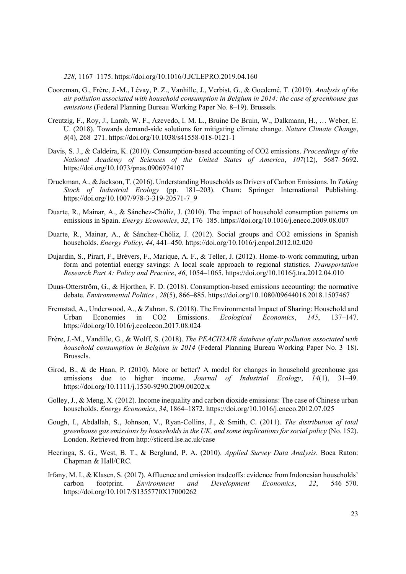*228*, 1167±1175. https://doi.org/10.1016/J.JCLEPRO.2019.04.160

- Cooreman, G., Frère, J.-M., Lévay, P. Z., Vanhille, J., Verbist, G., & Goedemé, T. (2019). *Analysis of the air pollution associated with household consumption in Belgium in 2014: the case of greenhouse gas emissions* (Federal Planning Bureau Working Paper No. 8-19). Brussels.
- Creutzig, F., Roy, J., Lamb, W. F., Azevedo, I. M. L., Bruine De Bruin, W., Dalkmann, H., ... Weber, E. U. (2018). Towards demand-side solutions for mitigating climate change. *Nature Climate Change*, *8*(4), 268±271. https://doi.org/10.1038/s41558-018-0121-1
- Davis, S. J., & Caldeira, K. (2010). Consumption-based accounting of CO2 emissions. *Proceedings of the National Academy of Sciences of the United States of America, 107(12), 5687-5692.* https://doi.org/10.1073/pnas.0906974107
- Druckman, A., & Jackson, T. (2016). Understanding Households as Drivers of Carbon Emissions. In *Taking Stock of Industrial Ecology* (pp. 181-203). Cham: Springer International Publishing. https://doi.org/10.1007/978-3-319-20571-7\_9
- Duarte, R., Mainar, A., & Sánchez-Chóliz, J. (2010). The impact of household consumption patterns on emissions in Spain. *Energy Economics*, 32, 176-185. https://doi.org/10.1016/j.eneco.2009.08.007
- Duarte, R., Mainar, A., & Sánchez-Chóliz, J. (2012). Social groups and CO2 emissions in Spanish households. *Energy Policy*, *44*, 441±450. https://doi.org/10.1016/j.enpol.2012.02.020
- Dujardin, S., Pirart, F., Brévers, F., Marique, A. F., & Teller, J. (2012). Home-to-work commuting, urban form and potential energy savings: A local scale approach to regional statistics. *Transportation Research Part A: Policy and Practice, 46, 1054–1065. https://doi.org/10.1016/j.tra.2012.04.010*
- Duus-Otterström, G., & Hjorthen, F. D. (2018). Consumption-based emissions accounting: the normative debate. *Environmental Politics*, 28(5), 866-885. https://doi.org/10.1080/09644016.2018.1507467
- Fremstad, A., Underwood, A., & Zahran, S. (2018). The Environmental Impact of Sharing: Household and Urban Economies in CO2 Emissions. *Ecological Economics*, 145, 137-147. https://doi.org/10.1016/j.ecolecon.2017.08.024
- Frère, J.-M., Vandille, G., & Wolff, S. (2018). *The PEACH2AIR database of air pollution associated with household consumption in Belgium in 2014* (Federal Planning Bureau Working Paper No. 3–18). Brussels.
- Girod, B., & de Haan, P. (2010). More or better? A model for changes in household greenhouse gas emissions due to higher income. *Journal of Industrial Ecology*, 14(1), 31–49. https://doi.org/10.1111/j.1530-9290.2009.00202.x
- Golley, J., & Meng, X. (2012). Income inequality and carbon dioxide emissions: The case of Chinese urban households. *Energy Economics*, 34, 1864-1872. https://doi.org/10.1016/j.eneco.2012.07.025
- Gough, I., Abdallah, S., Johnson, V., Ryan-Collins, J., & Smith, C. (2011). *The distribution of total greenhouse gas emissions by households in the UK, and some implications for social policy* (No. 152). London. Retrieved from http://sticerd.lse.ac.uk/case
- Heeringa, S. G., West, B. T., & Berglund, P. A. (2010). *Applied Survey Data Analysis*. Boca Raton: Chapman & Hall/CRC.
- Irfany, M. I., & Klasen, S. (2017). Affluence and emission tradeoffs: evidence from Indonesian households' carbon footprint. *Environment and Development Economics*, 22, 546–570. https://doi.org/10.1017/S1355770X17000262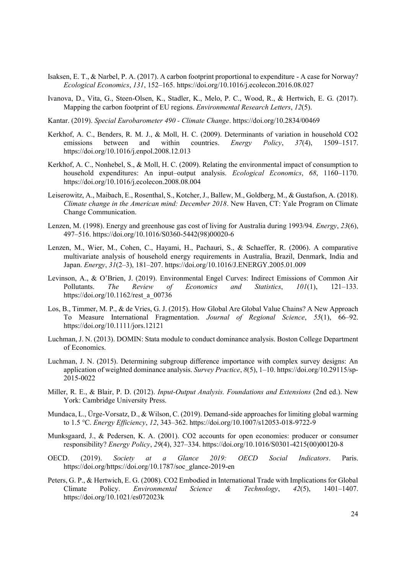- Isaksen, E. T., & Narbel, P. A. (2017). A carbon footprint proportional to expenditure A case for Norway? *Ecological Economics*, 131, 152–165. https://doi.org/10.1016/j.ecolecon.2016.08.027
- Ivanova, D., Vita, G., Steen-Olsen, K., Stadler, K., Melo, P. C., Wood, R., & Hertwich, E. G. (2017). Mapping the carbon footprint of EU regions. *Environmental Research Letters*, *12*(5).
- Kantar. (2019). *Special Eurobarometer 490 - Climate Change*. https://doi.org/10.2834/00469
- Kerkhof, A. C., Benders, R. M. J., & Moll, H. C. (2009). Determinants of variation in household CO2 emissions between and within countries. *Energy Policy*, 37(4), 1509–1517. https://doi.org/10.1016/j.enpol.2008.12.013
- Kerkhof, A. C., Nonhebel, S., & Moll, H. C. (2009). Relating the environmental impact of consumption to household expenditures: An input-output analysis. *Ecological Economics*, 68, 1160-1170. https://doi.org/10.1016/j.ecolecon.2008.08.004
- Leiserowitz, A., Maibach, E., Rosenthal, S., Kotcher, J., Ballew, M., Goldberg, M., & Gustafson, A. (2018). *Climate change in the American mind: December 2018*. New Haven, CT: Yale Program on Climate Change Communication.
- Lenzen, M. (1998). Energy and greenhouse gas cost of living for Australia during 1993/94. *Energy*, *23*(6), 497±516. https://doi.org/10.1016/S0360-5442(98)00020-6
- Lenzen, M., Wier, M., Cohen, C., Hayami, H., Pachauri, S., & Schaeffer, R. (2006). A comparative multivariate analysis of household energy requirements in Australia, Brazil, Denmark, India and Japan. *Energy*,  $31(2-3)$ ,  $181-207$ . https://doi.org/10.1016/J.ENERGY.2005.01.009
- Levinson, A., & O'Brien, J. (2019). Environmental Engel Curves: Indirect Emissions of Common Air Pollutants. *The Review of Economics and Statistics*, 101(1), 121–133. https://doi.org/10.1162/rest\_a\_00736
- Los, B., Timmer, M. P., & de Vries, G. J. (2015). How Global Are Global Value Chains? A New Approach To Measure International Fragmentation. *Journal of Regional Science*, 55(1), 66–92. https://doi.org/10.1111/jors.12121
- Luchman, J. N. (2013). DOMIN: Stata module to conduct dominance analysis. Boston College Department of Economics.
- Luchman, J. N. (2015). Determining subgroup difference importance with complex survey designs: An application of weighted dominance analysis. *Survey Practice*,  $8(5)$ , 1-10. https://doi.org/10.29115/sp-2015-0022
- Miller, R. E., & Blair, P. D. (2012). *Input-Output Analysis. Foundations and Extensions* (2nd ed.). New York: Cambridge University Press.
- Mundaca, L., Ürge-Vorsatz, D., & Wilson, C. (2019). Demand-side approaches for limiting global warming to 1.5 °C. *Energy Efficiency*, *12*, 343±362. https://doi.org/10.1007/s12053-018-9722-9
- Munksgaard, J., & Pedersen, K. A. (2001). CO2 accounts for open economies: producer or consumer responsibility? *Energy Policy*, *29*(4), 327±334. https://doi.org/10.1016/S0301-4215(00)00120-8
- OECD. (2019). *Society at a Glance 2019: OECD Social Indicators*. Paris. https://doi.org/https://doi.org/10.1787/soc\_glance-2019-en
- Peters, G. P., & Hertwich, E. G. (2008). CO2 Embodied in International Trade with Implications for Global Climate Policy. *Environmental Science & Technology*, 42(5), 1401–1407. https://doi.org/10.1021/es072023k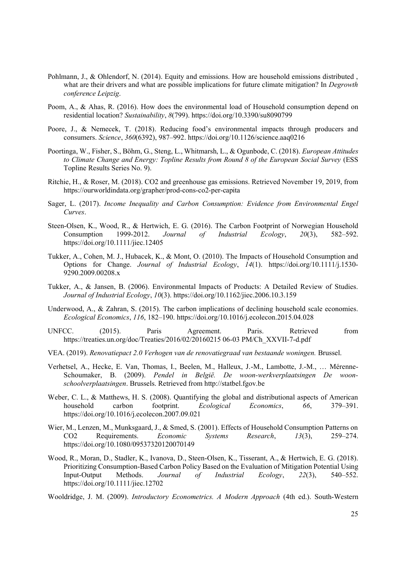- Pohlmann, J., & Ohlendorf, N. (2014). Equity and emissions. How are household emissions distributed , what are their drivers and what are possible implications for future climate mitigation? In *Degrowth conference Leipzig*.
- Poom, A., & Ahas, R. (2016). How does the environmental load of Household consumption depend on residential location? *Sustainability*, *8*(799). https://doi.org/10.3390/su8090799
- Poore, J., & Nemecek, T. (2018). Reducing food's environmental impacts through producers and consumers. *Science*, *360*(6392), 987±992. https://doi.org/10.1126/science.aaq0216
- Poortinga, W., Fisher, S., Böhm, G., Steng, L., Whitmarsh, L., & Ogunbode, C. (2018). *European Attitudes to Climate Change and Energy: Topline Results from Round 8 of the European Social Survey* (ESS Topline Results Series No. 9).
- Ritchie, H., & Roser, M. (2018). CO2 and greenhouse gas emissions. Retrieved November 19, 2019, from https://ourworldindata.org/grapher/prod-cons-co2-per-capita
- Sager, L. (2017). *Income Inequality and Carbon Consumption: Evidence from Environmental Engel Curves*.
- Steen-Olsen, K., Wood, R., & Hertwich, E. G. (2016). The Carbon Footprint of Norwegian Household Consumption 1999-2012. *Journal of Industrial Ecology*, *20*(3), 582±592. https://doi.org/10.1111/jiec.12405
- Tukker, A., Cohen, M. J., Hubacek, K., & Mont, O. (2010). The Impacts of Household Consumption and Options for Change. *Journal of Industrial Ecology*, *14*(1). https://doi.org/10.1111/j.1530- 9290.2009.00208.x
- Tukker, A., & Jansen, B. (2006). Environmental Impacts of Products: A Detailed Review of Studies. *Journal of Industrial Ecology*, *10*(3). https://doi.org/10.1162/jiec.2006.10.3.159
- Underwood, A., & Zahran, S. (2015). The carbon implications of declining household scale economies. *Ecological Economics*, *116*, 182–190. https://doi.org/10.1016/j.ecolecon.2015.04.028
- UNFCC. (2015). Paris Agreement. Paris. Retrieved from https://treaties.un.org/doc/Treaties/2016/02/20160215 06-03 PM/Ch\_XXVII-7-d.pdf
- VEA. (2019). *Renovatiepact 2.0 Verhogen van de renovatiegraad van bestaande woningen.* Brussel.
- Verhetsel, A., Hecke, E. Van, Thomas, I., Beelen, M., Halleux, J.-M., Lambotte, J.-M., ... Mérenne-Schoumaker, B. (2009). *Pendel in België. De woon-werkverplaatsingen De woonschoolverplaatsingen*. Brussels. Retrieved from http://statbel.fgov.be
- Weber, C. L., & Matthews, H. S. (2008). Quantifying the global and distributional aspects of American household carbon footprint. *Ecological Economics*, 66, 379–391. https://doi.org/10.1016/j.ecolecon.2007.09.021
- Wier, M., Lenzen, M., Munksgaard, J., & Smed, S. (2001). Effects of Household Consumption Patterns on CO2 Requirements. *Economic* Systems Research, 13(3), 259–274. https://doi.org/10.1080/09537320120070149
- Wood, R., Moran, D., Stadler, K., Ivanova, D., Steen-Olsen, K., Tisserant, A., & Hertwich, E. G. (2018). Prioritizing Consumption-Based Carbon Policy Based on the Evaluation of Mitigation Potential Using Input-Output Methods. *Journal of Industrial Ecology*, 22(3), 540–552. https://doi.org/10.1111/jiec.12702
- Wooldridge, J. M. (2009). *Introductory Econometrics. A Modern Approach* (4th ed.). South-Western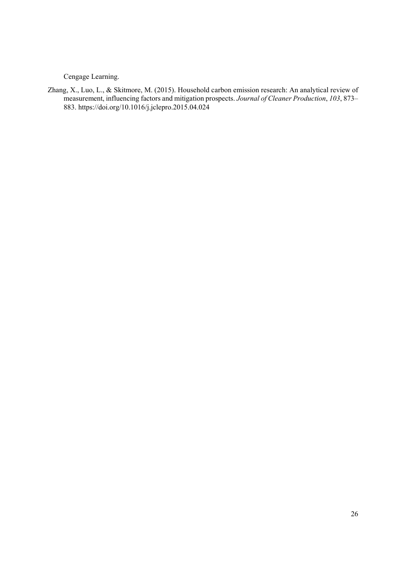Cengage Learning.

Zhang, X., Luo, L., & Skitmore, M. (2015). Household carbon emission research: An analytical review of measurement, influencing factors and mitigation prospects. Journal of Cleaner Production, 103, 873-883. https://doi.org/10.1016/j.jclepro.2015.04.024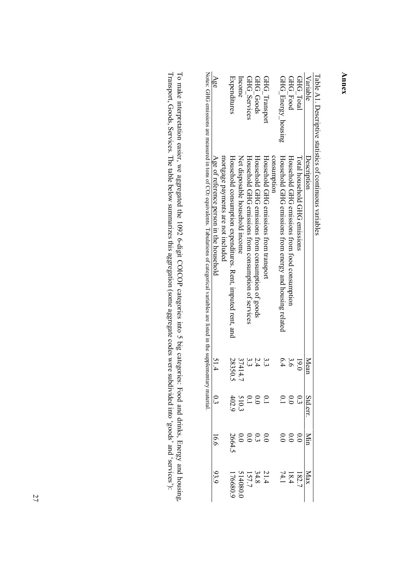| Age                                                                            | Expenditures                                                | Income                          | GHG Services                                         | GHG Goods                                         | GHG Transport                                         | GHG_Energy_housing                                      | <b>GHG Food</b>                               | GHG Total                     | Variable<br>Description |  |
|--------------------------------------------------------------------------------|-------------------------------------------------------------|---------------------------------|------------------------------------------------------|---------------------------------------------------|-------------------------------------------------------|---------------------------------------------------------|-----------------------------------------------|-------------------------------|-------------------------|--|
| Age of reference person in the household<br>mortgage payments are not included | Household consumption expenditures. Rent, imputed rent, and | Net disposable household income | Horaspold GHG emissions trom consumption of services | Household GHG emissions from consumption of goods | consumption<br>Household GHG emissions from transport | Household GHG emissions from energy and housing related | Household GHG emissions from food consumption | Total household GHG emissions |                         |  |
| 51.4                                                                           | 28350.5                                                     | 37414                           | 33                                                   |                                                   |                                                       | 6.4                                                     | $\tilde{9}$                                   | 19.0                          | Mean                    |  |
|                                                                                | $510.2$<br>402.9                                            |                                 |                                                      |                                                   | 0.1                                                   |                                                         | 000<br>3001                                   |                               | Std.en                  |  |
| 16.6                                                                           | 2664.5                                                      | $\widetilde{\cdot}$             | $\widetilde{\circ}$                                  | 33                                                | 0.0                                                   |                                                         | $_{\rm 0}^{\circ}$                            | $\widetilde{\circ}$           |                         |  |
|                                                                                | 176680.                                                     | 514080.0                        |                                                      | $21.4$<br>$34.8$<br>$157.7$                       |                                                       |                                                         | $\frac{182.7}{74.1}$                          |                               |                         |  |

Table A1. Descriptive statistics of continuous variables Table A1. Descriptive statistics of continuous variables

Transport, Goods, Services. The table below summarizes this aggregation (some aggregate codes were subdivided into 'goods' and 'services'): To make interpretation easier, we aggregated the 1092 6-digit COICOP categories into 5 big categories: Food and drinks, Energy and housing, Transport, Goods, Services. The taTo make interpretation easier, we aggregated the 1092 6-digit COICOP categories into 5 big categories: Food and drinks, Energy and housing, ble below summarizes this aggregation (some aggregate codes were subdivided into 'goods' and 'services'):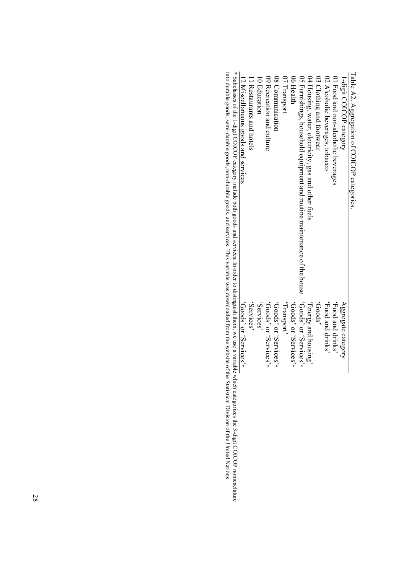| Lavis Az. Aggicgation of Colora Lawgories.                                                                                                                                                                                     |                                                     |
|--------------------------------------------------------------------------------------------------------------------------------------------------------------------------------------------------------------------------------|-----------------------------------------------------|
| 1-digit COICOP category                                                                                                                                                                                                        | Aggregate category                                  |
| 01 Food and non-alcoholic beverages                                                                                                                                                                                            | 's alrith band doo H'                               |
| 02 Alcoholic beverages, tobacco                                                                                                                                                                                                | Syluitp pure pood.                                  |
| 03 Clothing and footwear                                                                                                                                                                                                       | SpooD,                                              |
| 04 Housing, water, electricity, gas and other fuels                                                                                                                                                                            | Aurishou pue Asiau <sub>H</sub> ,                   |
| 60 Services, or 'Goods' or 'Goods' or 'Goods' or 'Goods' or 'Goods' or 'Goods' or 'Services, 'Goods' or 'Goods                                                                                                                 |                                                     |
| 06 Health                                                                                                                                                                                                                      | $*$ coods, or 'services' $*$                        |
| 07 Transport                                                                                                                                                                                                                   | , nodsuen <sub>1</sub> ,                            |
| 08 Communication                                                                                                                                                                                                               | $*$ saoivha $S$ , io sboo $D$ ,                     |
| 09 Recreation and culture                                                                                                                                                                                                      | *ces' cods' crvices'*                               |
| 10 Education                                                                                                                                                                                                                   | Services'                                           |
| I Restaurants and hotels                                                                                                                                                                                                       | 'Services'                                          |
| 12 Miscellaneous goods and services                                                                                                                                                                                            | $*$ səoi $\lambda$ uə $S$ , uo $\lambda$ spoo $D$ , |
| * Mirringson afthe 1 diritt COICOD asteroris in diride forth avade and east ineq. In at detailed to distinguish them stud use a scottioff as international studies of the contract to distinguish them as international contra |                                                     |

Table A2. Aggregation of COICOP categories. Table A2. Aggregation of COICOP categories.

\* Subclasses of the 1-digit COICOP category include both goods and services. In order to distinguish them, we use a variable which categorizes the 3-digit COICOP nomenclature into durable goods, semi-durable goods, non-dur into durable goods, semi-durable goods, non-durable goods, and services. This variable was downloaded from the website of the Statistical Division of the United Nations. \* Subclasses of the 1-digit COICOP category include both goods and services. In order to distinguish them, we use a variable which categorizes the 3-digit COICOP nomenclature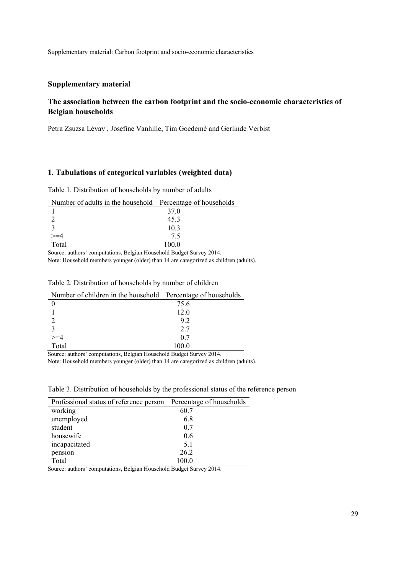# **Supplementary material**

# **The association between the carbon footprint and the socio-economic characteristics of Belgian households**

Petra Zsuzsa Lévay , Josefine Vanhille, Tim Goedemé and Gerlinde Verbist

# **1. Tabulations of categorical variables (weighted data)**

Table 1. Distribution of households by number of adults

| Number of adults in the household Percentage of households |                 |
|------------------------------------------------------------|-----------------|
|                                                            | 37 <sub>0</sub> |
|                                                            | 453             |
|                                                            | 103             |
|                                                            | 75              |
| Total                                                      | 100.0           |

Source: authors' computations, Belgian Household Budget Survey 2014.

Note: Household members younger (older) than 14 are categorized as children (adults).

| Number of children in the household Percentage of households |       |
|--------------------------------------------------------------|-------|
|                                                              | 75.6  |
|                                                              | 12.0  |
|                                                              | 92    |
|                                                              | 27    |
|                                                              | 0.7   |
| Total                                                        | 100 0 |

#### Table 2. Distribution of households by number of children

Source: authors' computations, Belgian Household Budget Survey 2014.

Note: Household members younger (older) than 14 are categorized as children (adults).

| Professional status of reference person | Percentage of households |
|-----------------------------------------|--------------------------|
| working                                 | 60.7                     |
| unemployed                              | 6.8                      |
| student                                 | 0.7                      |
| housewife                               | 0.6                      |
| incapacitated                           | 5.1                      |
| pension                                 | 26.2                     |
| Total                                   | 100.0                    |

Source: authors' computations, Belgian Household Budget Survey 2014.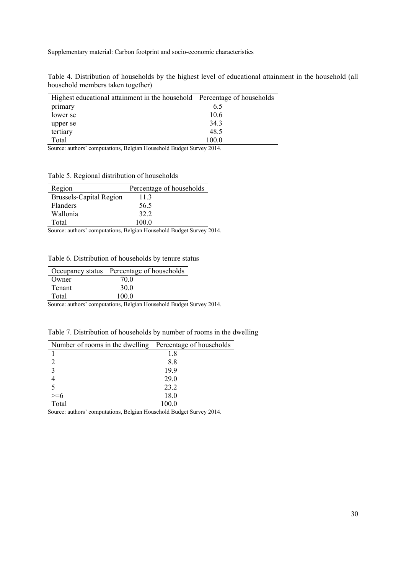Table 4. Distribution of households by the highest level of educational attainment in the household (all household members taken together)

| Highest educational attainment in the household Percentage of households |       |
|--------------------------------------------------------------------------|-------|
| primary                                                                  | 6.5   |
| lower se                                                                 | 10.6  |
| upper se                                                                 | 34.3  |
| tertiary                                                                 | 48.5  |
| Total                                                                    | 100.0 |
| .<br>$\sim$ $\sim$                                                       | ----  |

Source: authors' computations, Belgian Household Budget Survey 2014.

Table 5. Regional distribution of households

| Region                  | Percentage of households |
|-------------------------|--------------------------|
| Brussels-Capital Region | 113                      |
| <b>Flanders</b>         | 56.5                     |
| Wallonia                | 32.2                     |
| Total                   | 100 O                    |

Source: authors' computations, Belgian Household Budget Survey 2014.

Table 6. Distribution of households by tenure status

|               | Occupancy status Percentage of households |
|---------------|-------------------------------------------|
| Owner         | 70.0                                      |
| <b>Tenant</b> | 30 Q                                      |
| Total         | 100 0                                     |

Source: authors' computations, Belgian Household Budget Survey 2014.

Table 7. Distribution of households by number of rooms in the dwelling

| Number of rooms in the dwelling Percentage of households |       |
|----------------------------------------------------------|-------|
|                                                          | 1.8   |
|                                                          | 8.8   |
|                                                          | 19.9  |
|                                                          | 29.0  |
|                                                          | 23.2  |
|                                                          | 18.0  |
| Total                                                    | 100.0 |

Source: authors' computations, Belgian Household Budget Survey 2014.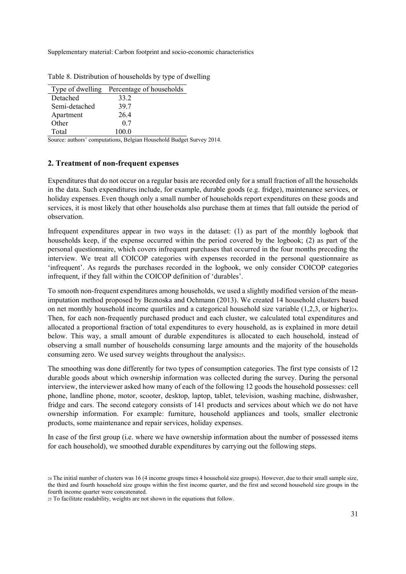|               | Type of dwelling Percentage of households |
|---------------|-------------------------------------------|
| Detached      | 33 2                                      |
| Semi-detached | 397                                       |
| Apartment     | 264                                       |
| Other         | 0.7                                       |
| Total         | 100 0                                     |

Table 8. Distribution of households by type of dwelling

Source: authors' computations, Belgian Household Budget Survey 2014.

### **2. Treatment of non-frequent expenses**

Expenditures that do not occur on a regular basis are recorded only for a small fraction of all the households in the data. Such expenditures include, for example, durable goods (e.g. fridge), maintenance services, or holiday expenses. Even though only a small number of households report expenditures on these goods and services, it is most likely that other households also purchase them at times that fall outside the period of observation.

Infrequent expenditures appear in two ways in the dataset: (1) as part of the monthly logbook that households keep, if the expense occurred within the period covered by the logbook; (2) as part of the personal questionnaire, which covers infrequent purchases that occurred in the four months preceding the interview. We treat all COICOP categories with expenses recorded in the personal questionnaire as 'infrequent'. As regards the purchases recorded in the logbook, we only consider COICOP categories infrequent, if they fall within the COICOP definition of 'durables'.

To smooth non-frequent expenditures among households, we used a slightly modified version of the meanimputation method proposed by Beznoska and Ochmann (2013). We created 14 household clusters based on net monthly household income quartiles and a categorical household size variable (1,2,3, or higher)24. Then, for each non-frequently purchased product and each cluster, we calculated total expenditures and allocated a proportional fraction of total expenditures to every household, as is explained in more detail below. This way, a small amount of durable expenditures is allocated to each household, instead of observing a small number of households consuming large amounts and the majority of the households consuming zero. We used survey weights throughout the analysis25.

The smoothing was done differently for two types of consumption categories. The first type consists of 12 durable goods about which ownership information was collected during the survey. During the personal interview, the interviewer asked how many of each of the following 12 goods the household possesses: cell phone, landline phone, motor, scooter, desktop, laptop, tablet, television, washing machine, dishwasher, fridge and cars. The second category consists of 141 products and services about which we do not have ownership information. For example: furniture, household appliances and tools, smaller electronic products, some maintenance and repair services, holiday expenses.

In case of the first group (i.e. where we have ownership information about the number of possessed items for each household), we smoothed durable expenditures by carrying out the following steps.

<sup>24</sup> The initial number of clusters was 16 (4 income groups times 4 household size groups). However, due to their small sample size, the third and fourth household size groups within the first income quarter, and the first and second household size groups in the fourth income quarter were concatenated.

<sup>25</sup> To facilitate readability, weights are not shown in the equations that follow.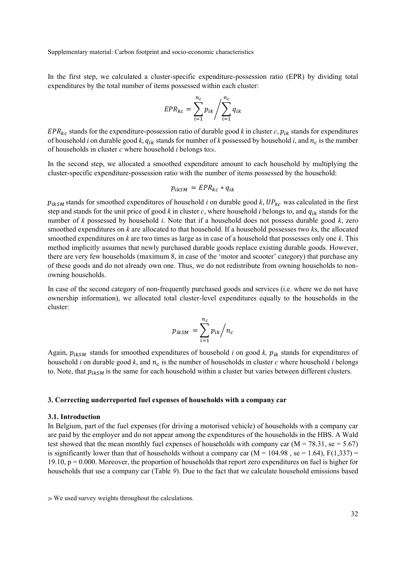In the first step, we calculated a cluster-specific expenditure-possession ratio (EPR) by dividing total expenditures by the total number of items possessed within each cluster:

$$
EPR_{kc} = \sum_{i=1}^{n_c} p_{ik} / \sum_{i=1}^{n_c} q_{ik}
$$

 $EPR_{kc}$  stands for the expenditure-possession ratio of durable good *k* in cluster *c*,  $p_{ik}$  stands for expenditures of household *i* on durable good *k*,  $q_{ik}$  stands for number of *k* possessed by household *i*, and  $n_c$  is the number of households in cluster *c* where household *i* belongs to26.

In the second step, we allocated a smoothed expenditure amount to each household by multiplying the cluster-specific expenditure-possession ratio with the number of items possessed by the household:

$$
p_{ikSM} = EPR_{kc} * q_{ik}
$$

 $p_{ikSM}$  stands for smoothed expenditures of household *i* on durable good *k*,  $UP_{kc}$  was calculated in the first step and stands for the unit price of good *k* in cluster *c*, where household *i* belongs to, and  $q_{ik}$  stands for the number of *k* possessed by household *i*. Note that if a household does not possess durable good *k*, zero smoothed expenditures on *k* are allocated to that household. If a household possesses two *k*s, the allocated smoothed expenditures on *k* are two times as large as in case of a household that possesses only one *k*. This method implicitly assumes that newly purchased durable goods replace existing durable goods. However, there are very few households (maximum 8, in case of the 'motor and scooter' category) that purchase any of these goods and do not already own one. Thus, we do not redistribute from owning households to nonowning households.

In case of the second category of non-frequently purchased goods and services (i.e. where we do not have ownership information), we allocated total cluster-level expenditures equally to the households in the cluster:

$$
p_{ikSM} = \sum_{i=1}^{n_c} p_{ik} / n_c
$$

Again,  $p_{ikSM}$  stands for smoothed expenditures of household *i* on good *k*,  $p_{ik}$  stands for expenditures of household *i* on durable good  $k$ , and  $n_c$  is the number of households in cluster  $c$  where household  $i$  belongs to. Note, that  $p_{ikSM}$  is the same for each household within a cluster but varies between different clusters.

#### **3. Correcting underreported fuel expenses of households with a company car**

#### **3.1. Introduction**

In Belgium, part of the fuel expenses (for driving a motorised vehicle) of households with a company car are paid by the employer and do not appear among the expenditures of the households in the HBS. A Wald test showed that the mean monthly fuel expenses of households with company car ( $M = 78.31$ , se = 5.67) is significantly lower than that of households without a company car ( $M = 104.98$ , se = 1.64),  $F(1,337) =$ 19.10,  $p = 0.000$ . Moreover, the proportion of households that report zero expenditures on fuel is higher for households that use a company car (Table *9*). Due to the fact that we calculate household emissions based

<sup>26</sup> We used survey weights throughout the calculations.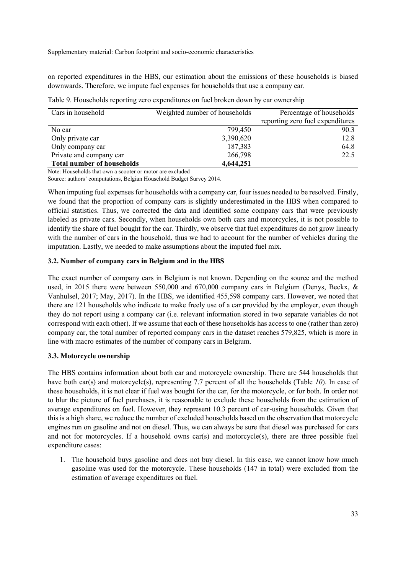on reported expenditures in the HBS, our estimation about the emissions of these households is biased downwards. Therefore, we impute fuel expenses for households that use a company car.

| Cars in household                 | Weighted number of households<br>Percentage of households |                                  |
|-----------------------------------|-----------------------------------------------------------|----------------------------------|
|                                   |                                                           | reporting zero fuel expenditures |
| No car                            | 799,450                                                   | 90.3                             |
| Only private car                  | 3,390,620                                                 | 12.8                             |
| Only company car                  | 187,383                                                   | 64.8                             |
| Private and company car           | 266,798                                                   | 22.5                             |
| <b>Total number of households</b> | 4,644,251                                                 |                                  |

Note: Households that own a scooter or motor are excluded

Source: authors' computations, Belgian Household Budget Survey 2014.

When imputing fuel expenses for households with a company car, four issues needed to be resolved. Firstly, we found that the proportion of company cars is slightly underestimated in the HBS when compared to official statistics. Thus, we corrected the data and identified some company cars that were previously labeled as private cars. Secondly, when households own both cars and motorcycles, it is not possible to identify the share of fuel bought for the car. Thirdly, we observe that fuel expenditures do not grow linearly with the number of cars in the household, thus we had to account for the number of vehicles during the imputation. Lastly, we needed to make assumptions about the imputed fuel mix.

# **3.2. Number of company cars in Belgium and in the HBS**

The exact number of company cars in Belgium is not known. Depending on the source and the method used, in 2015 there were between 550,000 and 670,000 company cars in Belgium (Denys, Beckx, & Vanhulsel, 2017; May, 2017). In the HBS, we identified 455,598 company cars. However, we noted that there are 121 households who indicate to make freely use of a car provided by the employer, even though they do not report using a company car (i.e. relevant information stored in two separate variables do not correspond with each other). If we assume that each of these households has access to one (rather than zero) company car, the total number of reported company cars in the dataset reaches 579,825, which is more in line with macro estimates of the number of company cars in Belgium.

# **3.3. Motorcycle ownership**

The HBS contains information about both car and motorcycle ownership. There are 544 households that have both car(s) and motorcycle(s), representing 7.7 percent of all the households (Table *10*). In case of these households, it is not clear if fuel was bought for the car, for the motorcycle, or for both. In order not to blur the picture of fuel purchases, it is reasonable to exclude these households from the estimation of average expenditures on fuel. However, they represent 10.3 percent of car-using households. Given that this is a high share, we reduce the number of excluded households based on the observation that motorcycle engines run on gasoline and not on diesel. Thus, we can always be sure that diesel was purchased for cars and not for motorcycles. If a household owns car(s) and motorcycle(s), there are three possible fuel expenditure cases:

1. The household buys gasoline and does not buy diesel. In this case, we cannot know how much gasoline was used for the motorcycle. These households (147 in total) were excluded from the estimation of average expenditures on fuel.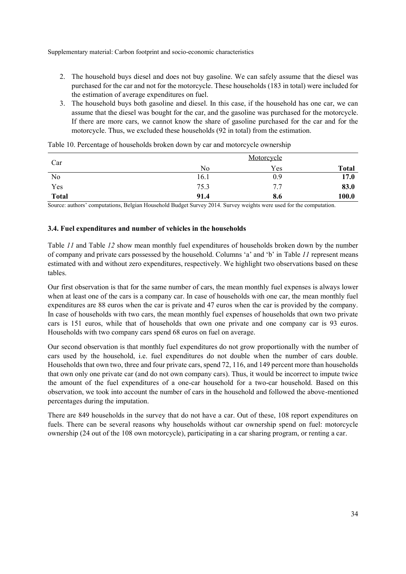- 2. The household buys diesel and does not buy gasoline. We can safely assume that the diesel was purchased for the car and not for the motorcycle. These households (183 in total) were included for the estimation of average expenditures on fuel.
- 3. The household buys both gasoline and diesel. In this case, if the household has one car, we can assume that the diesel was bought for the car, and the gasoline was purchased for the motorcycle. If there are more cars, we cannot know the share of gasoline purchased for the car and for the motorcycle. Thus, we excluded these households (92 in total) from the estimation.

|              | Motorcycle |     |              |  |  |
|--------------|------------|-----|--------------|--|--|
| Car          | No         | Yes | <b>Total</b> |  |  |
| No           | 16.1       | 0.9 | 17.0         |  |  |
| Yes          | 75.3       | 7.7 | 83.0         |  |  |
| <b>Total</b> | 91.4       | 8.6 | 100.0        |  |  |

Table 10. Percentage of households broken down by car and motorcycle ownership

Source: authors' computations, Belgian Household Budget Survey 2014. Survey weights were used for the computation.

# **3.4. Fuel expenditures and number of vehicles in the households**

Table *11* and Table *12* show mean monthly fuel expenditures of households broken down by the number of company and private cars possessed by the household. Columns 'a' and 'b' in Table *11* represent means estimated with and without zero expenditures, respectively. We highlight two observations based on these tables.

Our first observation is that for the same number of cars, the mean monthly fuel expenses is always lower when at least one of the cars is a company car. In case of households with one car, the mean monthly fuel expenditures are 88 euros when the car is private and 47 euros when the car is provided by the company. In case of households with two cars, the mean monthly fuel expenses of households that own two private cars is 151 euros, while that of households that own one private and one company car is 93 euros. Households with two company cars spend 68 euros on fuel on average.

Our second observation is that monthly fuel expenditures do not grow proportionally with the number of cars used by the household, i.e. fuel expenditures do not double when the number of cars double. Households that own two, three and four private cars, spend 72, 116, and 149 percent more than households that own only one private car (and do not own company cars). Thus, it would be incorrect to impute twice the amount of the fuel expenditures of a one-car household for a two-car household. Based on this observation, we took into account the number of cars in the household and followed the above-mentioned percentages during the imputation.

There are 849 households in the survey that do not have a car. Out of these, 108 report expenditures on fuels. There can be several reasons why households without car ownership spend on fuel: motorcycle ownership (24 out of the 108 own motorcycle), participating in a car sharing program, or renting a car.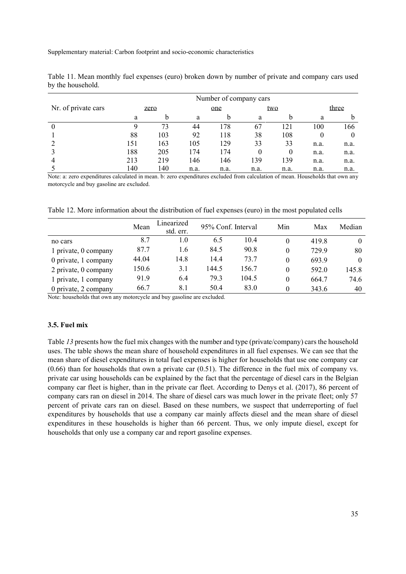|                     | Number of company cars |     |      |      |      |          |      |       |  |
|---------------------|------------------------|-----|------|------|------|----------|------|-------|--|
| Nr. of private cars | zero                   |     | one  |      |      | two      |      | three |  |
|                     | a                      | b   | а    | b    | a    | b        | a    |       |  |
|                     |                        | 73  | 44   | 178  | 67   | 121      | 100  | 166   |  |
|                     | 88                     | 103 | 92   | 118  | 38   | 108      |      |       |  |
|                     | 151                    | 163 | 105  | 129  | 33   | 33       | n.a. | n.a.  |  |
|                     | 188                    | 205 | 174  | 174  |      | $\theta$ | n.a. | n.a.  |  |
| 4                   | 213                    | 219 | 146  | 146  | 139  | 139      | n.a. | n.a.  |  |
|                     | 140                    | 140 | n.a. | n.a. | n.a. | n.a.     | n.a. | n.a.  |  |

Table 11. Mean monthly fuel expenses (euro) broken down by number of private and company cars used by the household.

Note: a: zero expenditures calculated in mean. b: zero expenditures excluded from calculation of mean. Households that own any motorcycle and buy gasoline are excluded.

Table 12. More information about the distribution of fuel expenses (euro) in the most populated cells

|                      | Mean  | Linearized<br>std. err. |       | 95% Conf. Interval | Min      | Max   | Median   |
|----------------------|-------|-------------------------|-------|--------------------|----------|-------|----------|
| no cars              | 8.7   | 1.0                     | 6.5   | 10.4               | $\theta$ | 419.8 | $\theta$ |
| 1 private, 0 company | 87.7  | 1.6                     | 84.5  | 90.8               | 0        | 7299  | 80       |
| 0 private, 1 company | 44.04 | 14.8                    | 14.4  | 73.7               | 0        | 693.9 | $\theta$ |
| 2 private, 0 company | 150.6 | 3.1                     | 144.5 | 156.7              | $\theta$ | 592.0 | 145.8    |
| 1 private, 1 company | 91.9  | 6.4                     | 79.3  | 104.5              | 0        | 664.7 | 74.6     |
| 0 private, 2 company | 66.7  | 8.1                     | 50.4  | 83.0               | 0        | 343.6 | 40       |

Note: households that own any motorcycle and buy gasoline are excluded.

# **3.5. Fuel mix**

Table 13 presents how the fuel mix changes with the number and type (private/company) cars the household uses. The table shows the mean share of household expenditures in all fuel expenses. We can see that the mean share of diesel expenditures in total fuel expenses is higher for households that use one company car (0.66) than for households that own a private car (0.51). The difference in the fuel mix of company vs. private car using households can be explained by the fact that the percentage of diesel cars in the Belgian company car fleet is higher, than in the private car fleet. According to Denys et al. (2017), 86 percent of company cars ran on diesel in 2014. The share of diesel cars was much lower in the private fleet; only 57 percent of private cars ran on diesel. Based on these numbers, we suspect that underreporting of fuel expenditures by households that use a company car mainly affects diesel and the mean share of diesel expenditures in these households is higher than 66 percent. Thus, we only impute diesel, except for households that only use a company car and report gasoline expenses.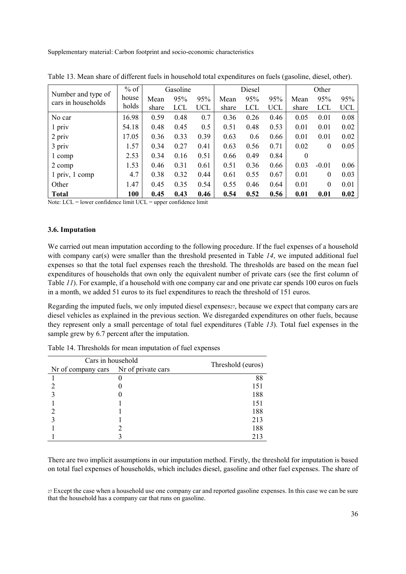| Number and type of | $%$ of | Gasoline |            | Diesel     |       |      | Other      |          |                  |            |
|--------------------|--------|----------|------------|------------|-------|------|------------|----------|------------------|------------|
| cars in households | house  | Mean     | 95%        | 95%        | Mean  | 95%  | 95%        | Mean     | 95%              | 95%        |
|                    | holds  | share    | <b>LCL</b> | <b>UCL</b> | share | LCL  | <b>UCL</b> | share    | <b>LCL</b>       | <b>UCL</b> |
| No car             | 16.98  | 0.59     | 0.48       | 0.7        | 0.36  | 0.26 | 0.46       | 0.05     | 0.01             | 0.08       |
| 1 priv             | 54.18  | 0.48     | 0.45       | 0.5        | 0.51  | 0.48 | 0.53       | 0.01     | 0.01             | 0.02       |
| 2 priv             | 17.05  | 0.36     | 0.33       | 0.39       | 0.63  | 0.6  | 0.66       | 0.01     | 0.01             | 0.02       |
| 3 priv             | 1.57   | 0.34     | 0.27       | 0.41       | 0.63  | 0.56 | 0.71       | 0.02     | $\boldsymbol{0}$ | 0.05       |
| 1 comp             | 2.53   | 0.34     | 0.16       | 0.51       | 0.66  | 0.49 | 0.84       | $\theta$ |                  |            |
| 2 comp             | 1.53   | 0.46     | 0.31       | 0.61       | 0.51  | 0.36 | 0.66       | 0.03     | $-0.01$          | 0.06       |
| 1 priv, 1 comp     | 4.7    | 0.38     | 0.32       | 0.44       | 0.61  | 0.55 | 0.67       | 0.01     | $\boldsymbol{0}$ | 0.03       |
| Other              | 1.47   | 0.45     | 0.35       | 0.54       | 0.55  | 0.46 | 0.64       | 0.01     | $\theta$         | 0.01       |
| <b>Total</b>       | 100    | 0.45     | 0.43       | 0.46       | 0.54  | 0.52 | 0.56       | 0.01     | 0.01             | 0.02       |

Table 13. Mean share of different fuels in household total expenditures on fuels (gasoline, diesel, other).

Note: LCL = lower confidence limit UCL = upper confidence limit

# **3.6. Imputation**

We carried out mean imputation according to the following procedure. If the fuel expenses of a household with company car(s) were smaller than the threshold presented in Table 14, we imputed additional fuel expenses so that the total fuel expenses reach the threshold. The thresholds are based on the mean fuel expenditures of households that own only the equivalent number of private cars (see the first column of Table *11*). For example, if a household with one company car and one private car spends 100 euros on fuels in a month, we added 51 euros to its fuel expenditures to reach the threshold of 151 euros.

Regarding the imputed fuels, we only imputed diesel expenses  $z_7$ , because we expect that company cars are diesel vehicles as explained in the previous section. We disregarded expenditures on other fuels, because they represent only a small percentage of total fuel expenditures (Table *13*). Total fuel expenses in the sample grew by 6.7 percent after the imputation.

| Cars in household                     |  |                   |  |
|---------------------------------------|--|-------------------|--|
| Nr of company cars Nr of private cars |  | Threshold (euros) |  |
|                                       |  | 88                |  |
|                                       |  | 151               |  |
|                                       |  | 188               |  |
|                                       |  | 151               |  |
|                                       |  | 188               |  |
|                                       |  | 213               |  |
|                                       |  | 188               |  |
|                                       |  | 213               |  |

Table 14. Thresholds for mean imputation of fuel expenses

There are two implicit assumptions in our imputation method. Firstly, the threshold for imputation is based on total fuel expenses of households, which includes diesel, gasoline and other fuel expenses. The share of

<sup>27</sup> Except the case when a household use one company car and reported gasoline expenses. In this case we can be sure that the household has a company car that runs on gasoline.